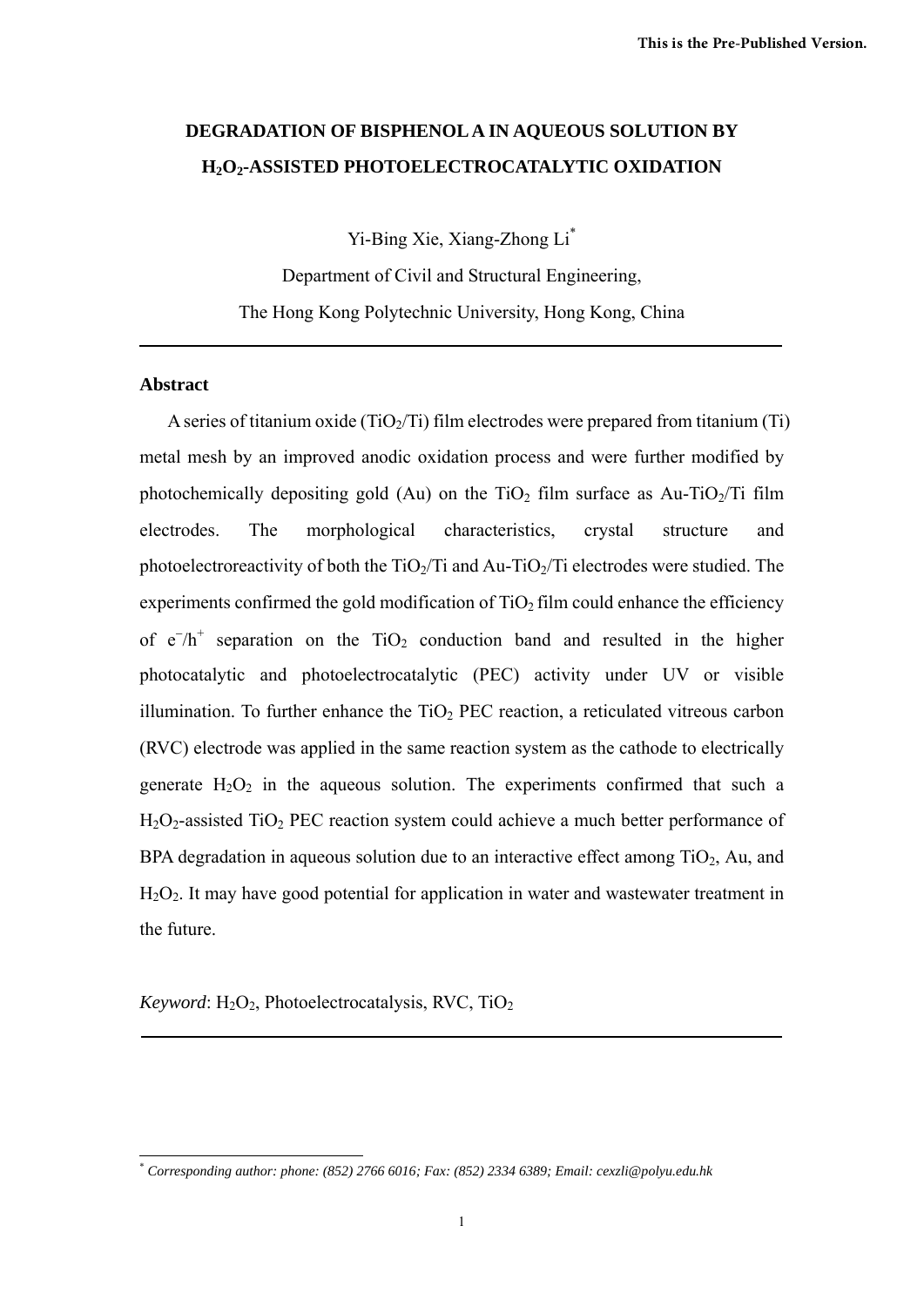# **DEGRADATION OF BISPHENOL A IN AQUEOUS SOLUTION BY H2O2-ASSISTED PHOTOELECTROCATALYTIC OXIDATION**

Yi-Bing Xie, Xiang-Zhong Li\*

Department of Civil and Structural Engineering, The Hong Kong Polytechnic University, Hong Kong, China

## **Abstract**

A series of titanium oxide  $(TiO<sub>2</sub>/Ti)$  film electrodes were prepared from titanium (Ti) metal mesh by an improved anodic oxidation process and were further modified by photochemically depositing gold (Au) on the TiO<sub>2</sub> film surface as Au-TiO<sub>2</sub>/Ti film electrodes. The morphological characteristics, crystal structure and photoelectroreactivity of both the  $TiO<sub>2</sub>/Ti$  and Au-TiO<sub>2</sub>/Ti electrodes were studied. The experiments confirmed the gold modification of  $TiO<sub>2</sub>$  film could enhance the efficiency of  $e^{-}/h^{+}$  separation on the TiO<sub>2</sub> conduction band and resulted in the higher photocatalytic and photoelectrocatalytic (PEC) activity under UV or visible illumination. To further enhance the  $TiO<sub>2</sub> PEC$  reaction, a reticulated vitreous carbon (RVC) electrode was applied in the same reaction system as the cathode to electrically generate  $H_2O_2$  in the aqueous solution. The experiments confirmed that such a  $H<sub>2</sub>O<sub>2</sub>$ -assisted TiO<sub>2</sub> PEC reaction system could achieve a much better performance of BPA degradation in aqueous solution due to an interactive effect among  $TiO<sub>2</sub>$ , Au, and  $H_2O_2$ . It may have good potential for application in water and wastewater treatment in the future.

 $Keywords$ :  $H_2O_2$ , Photoelectrocatalysis, RVC, TiO<sub>2</sub>

<sup>&</sup>lt;u>.</u> \* *Corresponding author: phone: (852) 2766 6016; Fax: (852) 2334 6389; Email: cexzli@polyu.edu.hk*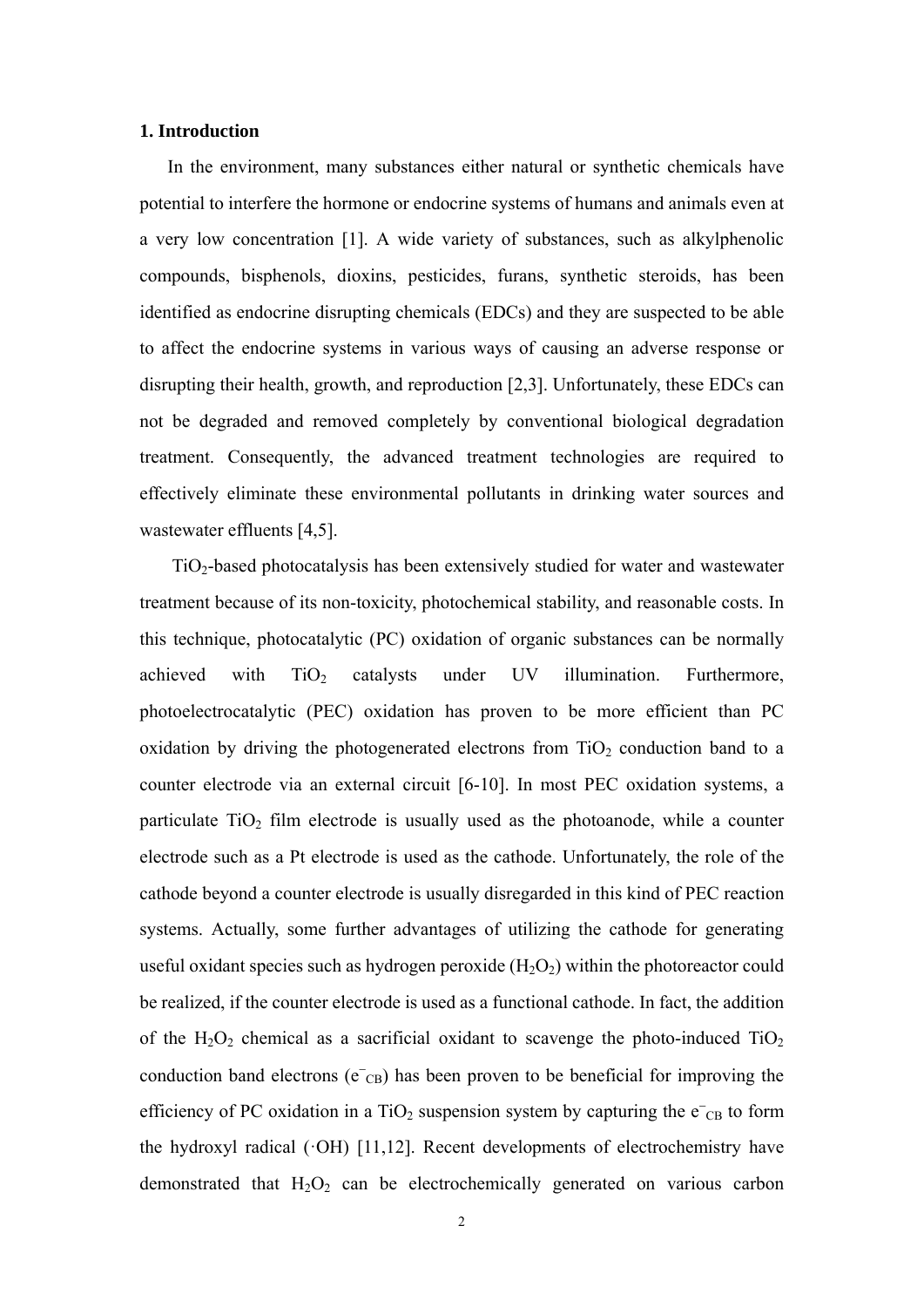## **1. Introduction**

In the environment, many substances either natural or synthetic chemicals have potential to interfere the hormone or endocrine systems of humans and animals even at a very low concentration [1]. A wide variety of substances, such as alkylphenolic compounds, bisphenols, dioxins, pesticides, furans, synthetic steroids, has been identified as endocrine disrupting chemicals (EDCs) and they are suspected to be able to affect the endocrine systems in various ways of causing an adverse response or disrupting their health, growth, and reproduction [2,3]. Unfortunately, these EDCs can not be degraded and removed completely by conventional biological degradation treatment. Consequently, the advanced treatment technologies are required to effectively eliminate these environmental pollutants in drinking water sources and wastewater effluents [4,5].

TiO2-based photocatalysis has been extensively studied for water and wastewater treatment because of its non-toxicity, photochemical stability, and reasonable costs. In this technique, photocatalytic (PC) oxidation of organic substances can be normally achieved with  $TiO<sub>2</sub>$  catalysts under UV illumination. Furthermore, photoelectrocatalytic (PEC) oxidation has proven to be more efficient than PC oxidation by driving the photogenerated electrons from  $TiO<sub>2</sub>$  conduction band to a counter electrode via an external circuit [6-10]. In most PEC oxidation systems, a particulate  $TiO<sub>2</sub>$  film electrode is usually used as the photoanode, while a counter electrode such as a Pt electrode is used as the cathode. Unfortunately, the role of the cathode beyond a counter electrode is usually disregarded in this kind of PEC reaction systems. Actually, some further advantages of utilizing the cathode for generating useful oxidant species such as hydrogen peroxide  $(H_2O_2)$  within the photoreactor could be realized, if the counter electrode is used as a functional cathode. In fact, the addition of the  $H_2O_2$  chemical as a sacrificial oxidant to scavenge the photo-induced  $TiO_2$ conduction band electrons ( $e^-$ <sub>CB</sub>) has been proven to be beneficial for improving the efficiency of PC oxidation in a TiO<sub>2</sub> suspension system by capturing the  $e^-$ <sub>CB</sub> to form the hydroxyl radical  $(°OH)$  [11,12]. Recent developments of electrochemistry have demonstrated that  $H_2O_2$  can be electrochemically generated on various carbon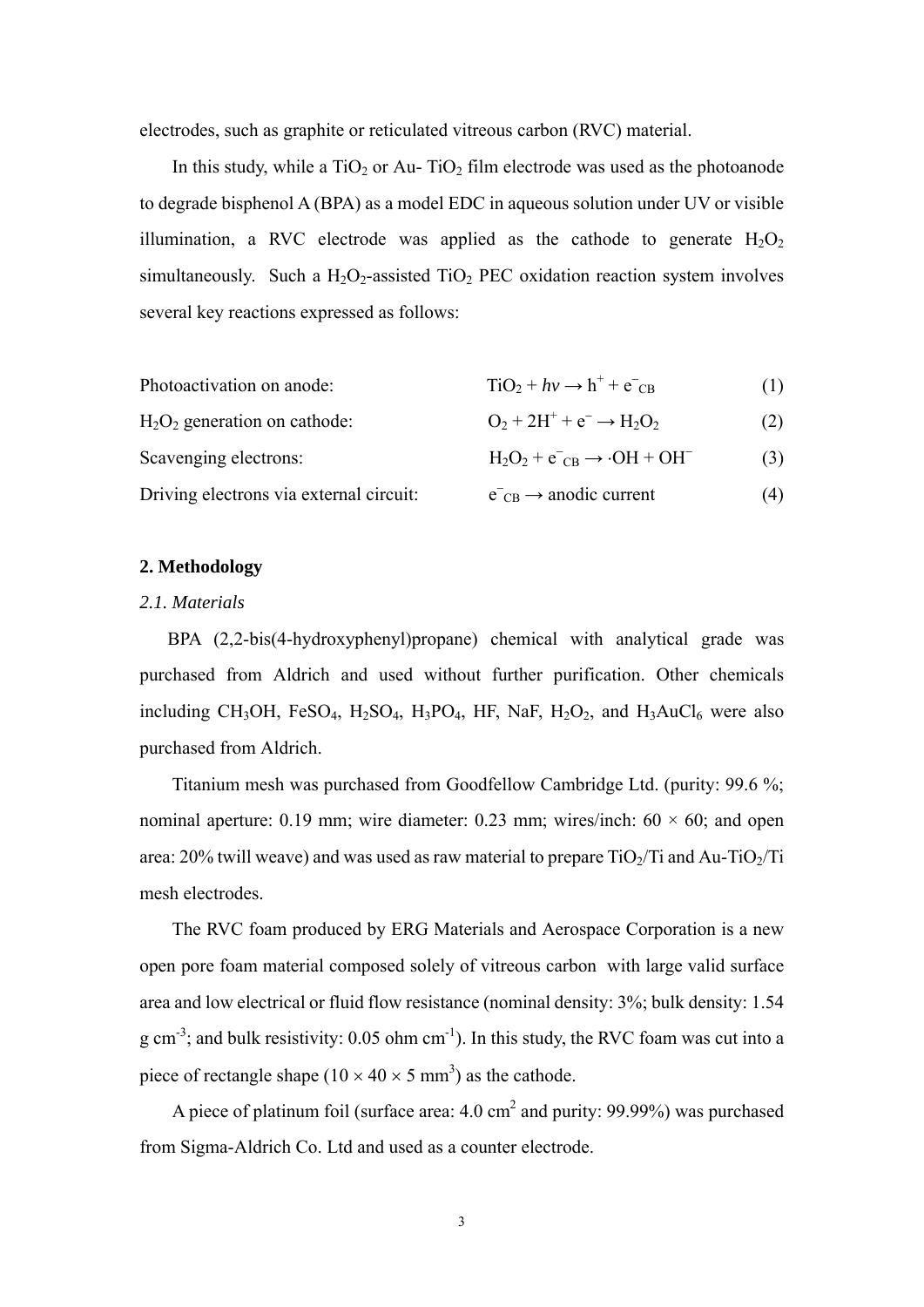electrodes, such as graphite or reticulated vitreous carbon (RVC) material.

In this study, while a  $TiO<sub>2</sub>$  or Au- $TiO<sub>2</sub>$  film electrode was used as the photoanode to degrade bisphenol A (BPA) as a model EDC in aqueous solution under UV or visible illumination, a RVC electrode was applied as the cathode to generate  $H_2O_2$ simultaneously. Such a  $H_2O_2$ -assisted TiO<sub>2</sub> PEC oxidation reaction system involves several key reactions expressed as follows:

- Photoactivation on anode:  $TiO_2 + hv \rightarrow h^+ + e^-_{CB}$  $(1)$
- $H<sub>2</sub>O<sub>2</sub>$  generation on cathode:  $O_2 + 2H^+ + e^- \rightarrow H_2O_2$  (2) Scavenging electrons:  $H_2O_2 + e^-_{CB} \rightarrow \cdot OH + OH^-$ (3)
- Driving electrons via external circuit:  $\overline{e}_{CB} \rightarrow$  anodic current (4)

#### **2. Methodology**

## *2.1. Materials*

BPA (2,2-bis(4-hydroxyphenyl)propane) chemical with analytical grade was purchased from Aldrich and used without further purification. Other chemicals including CH<sub>3</sub>OH, FeSO<sub>4</sub>, H<sub>2</sub>SO<sub>4</sub>, H<sub>3</sub>PO<sub>4</sub>, HF, NaF, H<sub>2</sub>O<sub>2</sub>, and H<sub>3</sub>AuCl<sub>6</sub> were also purchased from Aldrich.

Titanium mesh was purchased from Goodfellow Cambridge Ltd. (purity: 99.6 %; nominal aperture: 0.19 mm; wire diameter: 0.23 mm; wires/inch:  $60 \times 60$ ; and open area:  $20\%$  twill weave) and was used as raw material to prepare TiO<sub>2</sub>/Ti and Au-TiO<sub>2</sub>/Ti mesh electrodes.

The RVC foam produced by ERG Materials and Aerospace Corporation is a new open pore foam material composed solely of vitreous carbon with large valid surface area and low electrical or fluid flow resistance (nominal density: 3%; bulk density: 1.54 g cm<sup>-3</sup>; and bulk resistivity:  $0.05$  ohm cm<sup>-1</sup>). In this study, the RVC foam was cut into a piece of rectangle shape  $(10 \times 40 \times 5 \text{ mm}^3)$  as the cathode.

A piece of platinum foil (surface area:  $4.0 \text{ cm}^2$  and purity: 99.99%) was purchased from Sigma-Aldrich Co. Ltd and used as a counter electrode.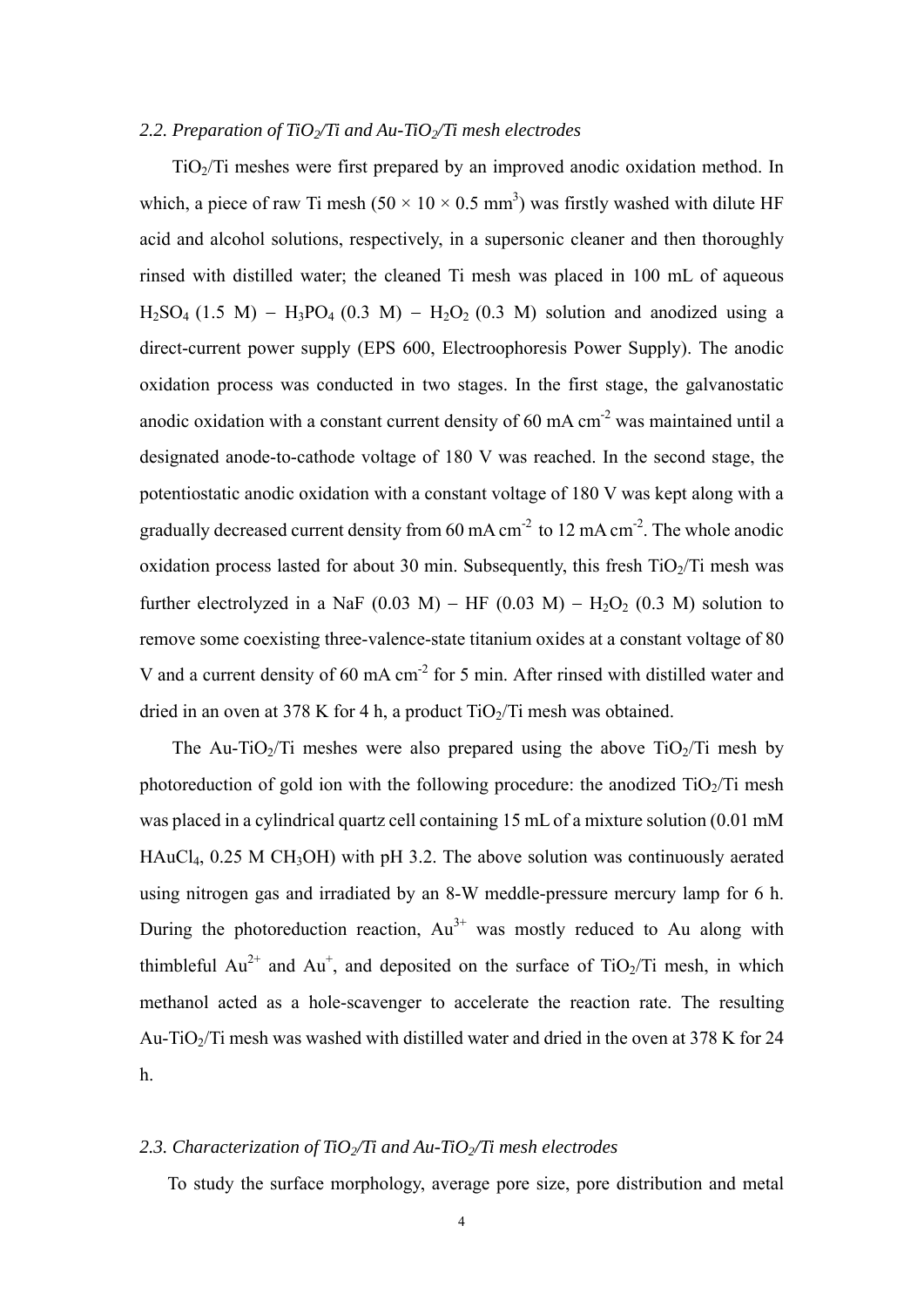#### 2.2. Preparation of TiO<sub>2</sub>/Ti and Au-TiO<sub>2</sub>/Ti mesh electrodes

TiO2/Ti meshes were first prepared by an improved anodic oxidation method. In which, a piece of raw Ti mesh  $(50 \times 10 \times 0.5 \text{ mm}^3)$  was firstly washed with dilute HF acid and alcohol solutions, respectively, in a supersonic cleaner and then thoroughly rinsed with distilled water; the cleaned Ti mesh was placed in 100 mL of aqueous  $H_2SO_4$  (1.5 M) –  $H_3PO_4$  (0.3 M) –  $H_2O_2$  (0.3 M) solution and anodized using a direct-current power supply (EPS 600, Electroophoresis Power Supply). The anodic oxidation process was conducted in two stages. In the first stage, the galvanostatic anodic oxidation with a constant current density of  $60 \text{ mA cm}^2$  was maintained until a designated anode-to-cathode voltage of 180 V was reached. In the second stage, the potentiostatic anodic oxidation with a constant voltage of 180 V was kept along with a gradually decreased current density from 60 mA  $\text{cm}^{-2}$  to 12 mA  $\text{cm}^{-2}$ . The whole anodic oxidation process lasted for about 30 min. Subsequently, this fresh  $TiO<sub>2</sub>/Ti$  mesh was further electrolyzed in a NaF (0.03 M) – HF (0.03 M) – H<sub>2</sub>O<sub>2</sub> (0.3 M) solution to remove some coexisting three-valence-state titanium oxides at a constant voltage of 80 V and a current density of 60 mA  $\text{cm}^2$  for 5 min. After rinsed with distilled water and dried in an oven at 378 K for 4 h, a product  $TiO<sub>2</sub>/Ti$  mesh was obtained.

The Au-TiO<sub>2</sub>/Ti meshes were also prepared using the above  $TiO<sub>2</sub>/Ti$  mesh by photoreduction of gold ion with the following procedure: the anodized  $TiO<sub>2</sub>/Ti$  mesh was placed in a cylindrical quartz cell containing 15 mL of a mixture solution (0.01 mM  $HAuCl<sub>4</sub>$ , 0.25 M CH<sub>3</sub>OH) with pH 3.2. The above solution was continuously aerated using nitrogen gas and irradiated by an 8-W meddle-pressure mercury lamp for 6 h. During the photoreduction reaction,  $Au^{3+}$  was mostly reduced to Au along with thimbleful  $Au^{2+}$  and  $Au^{+}$ , and deposited on the surface of TiO<sub>2</sub>/Ti mesh, in which methanol acted as a hole-scavenger to accelerate the reaction rate. The resulting Au-TiO<sub>2</sub>/Ti mesh was washed with distilled water and dried in the oven at 378 K for 24 h.

# 2.3. Characterization of TiO<sub>2</sub>/Ti and Au-TiO<sub>2</sub>/Ti mesh electrodes

To study the surface morphology, average pore size, pore distribution and metal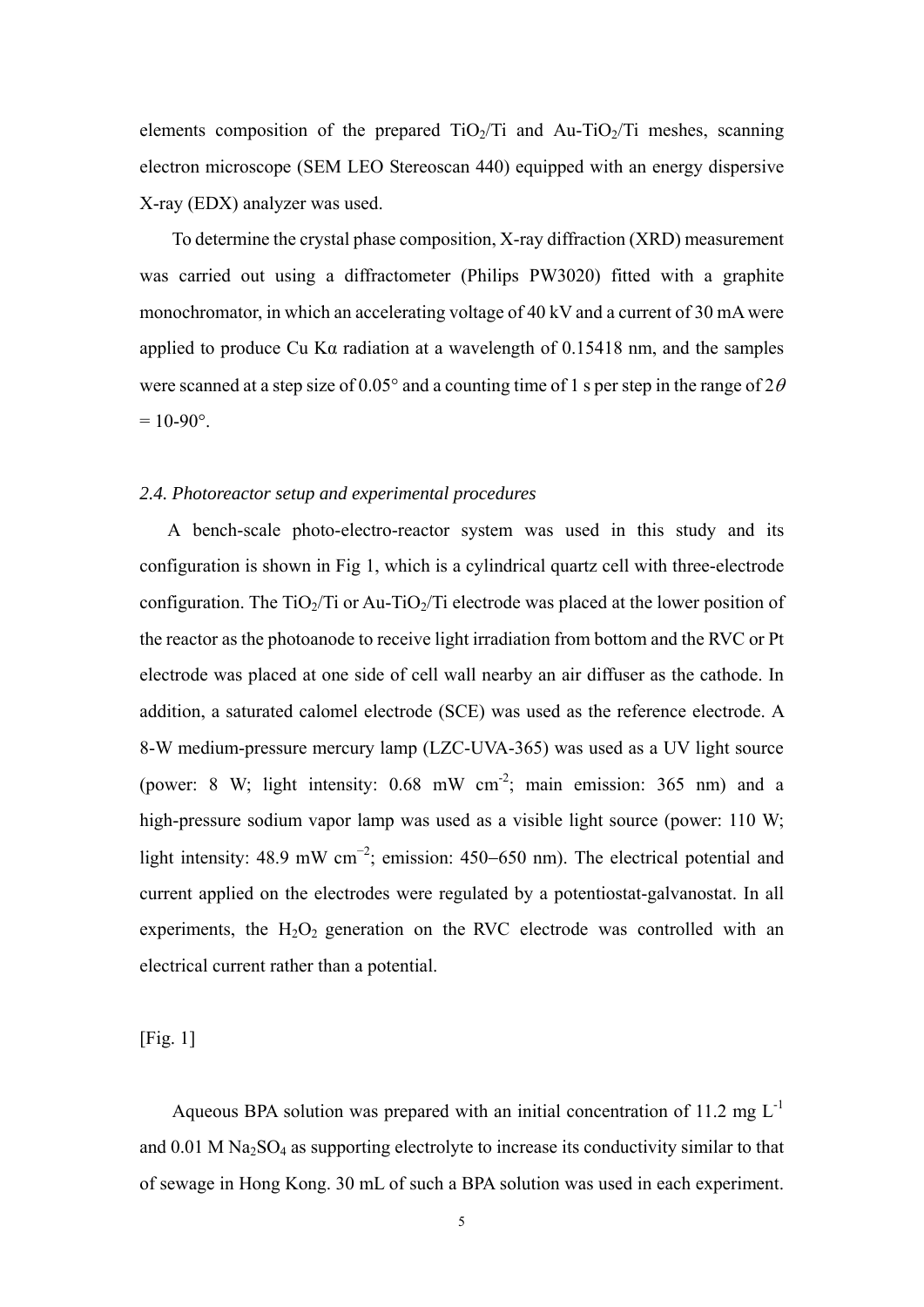elements composition of the prepared  $TiO<sub>2</sub>/Ti$  and  $Au-TiO<sub>2</sub>/Ti$  meshes, scanning electron microscope (SEM LEO Stereoscan 440) equipped with an energy dispersive X-ray (EDX) analyzer was used.

To determine the crystal phase composition, X-ray diffraction (XRD) measurement was carried out using a diffractometer (Philips PW3020) fitted with a graphite monochromator, in which an accelerating voltage of 40 kV and a current of 30 mA were applied to produce Cu Kα radiation at a wavelength of 0.15418 nm, and the samples were scanned at a step size of 0.05° and a counting time of 1 s per step in the range of  $2\theta$  $= 10 - 90^{\circ}$ .

### *2.4. Photoreactor setup and experimental procedures*

A bench-scale photo-electro-reactor system was used in this study and its configuration is shown in Fig 1, which is a cylindrical quartz cell with three-electrode configuration. The  $TiO<sub>2</sub>/Ti$  or Au-TiO<sub>2</sub>/Ti electrode was placed at the lower position of the reactor as the photoanode to receive light irradiation from bottom and the RVC or Pt electrode was placed at one side of cell wall nearby an air diffuser as the cathode. In addition, a saturated calomel electrode (SCE) was used as the reference electrode. A 8-W medium-pressure mercury lamp (LZC-UVA-365) was used as a UV light source (power: 8 W; light intensity:  $0.68$  mW cm<sup>-2</sup>; main emission: 365 nm) and a high-pressure sodium vapor lamp was used as a visible light source (power: 110 W; light intensity: 48.9 mW cm<sup>-2</sup>; emission: 450–650 nm). The electrical potential and current applied on the electrodes were regulated by a potentiostat-galvanostat. In all experiments, the  $H_2O_2$  generation on the RVC electrode was controlled with an electrical current rather than a potential.

[Fig. 1]

Aqueous BPA solution was prepared with an initial concentration of 11.2 mg  $L^{-1}$ and  $0.01$  M Na<sub>2</sub>SO<sub>4</sub> as supporting electrolyte to increase its conductivity similar to that of sewage in Hong Kong. 30 mL of such a BPA solution was used in each experiment.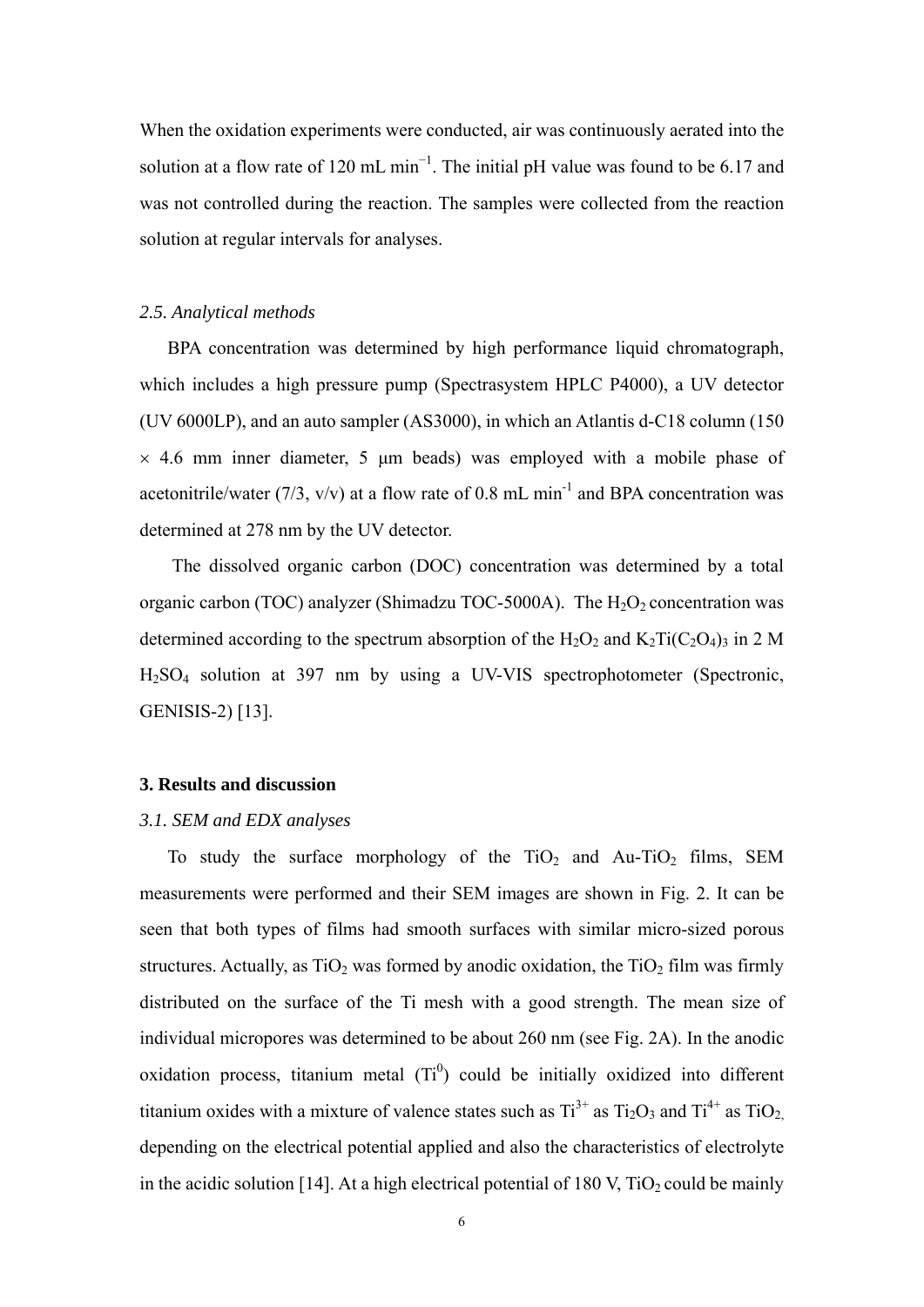When the oxidation experiments were conducted, air was continuously aerated into the solution at a flow rate of 120 mL min<sup>-1</sup>. The initial pH value was found to be 6.17 and was not controlled during the reaction. The samples were collected from the reaction solution at regular intervals for analyses.

#### *2.5. Analytical methods*

BPA concentration was determined by high performance liquid chromatograph, which includes a high pressure pump (Spectrasystem HPLC P4000), a UV detector (UV 6000LP), and an auto sampler (AS3000), in which an Atlantis d-C18 column (150  $\times$  4.6 mm inner diameter, 5 µm beads) was employed with a mobile phase of acetonitrile/water (7/3,  $v/v$ ) at a flow rate of 0.8 mL min<sup>-1</sup> and BPA concentration was determined at 278 nm by the UV detector.

The dissolved organic carbon (DOC) concentration was determined by a total organic carbon (TOC) analyzer (Shimadzu TOC-5000A). The  $H_2O_2$  concentration was determined according to the spectrum absorption of the  $H_2O_2$  and  $K_2Ti(C_2O_4)$ <sub>3</sub> in 2 M H2SO4 solution at 397 nm by using a UV-VIS spectrophotometer (Spectronic, GENISIS-2) [13].

#### **3. Results and discussion**

## *3.1. SEM and EDX analyses*

To study the surface morphology of the  $TiO<sub>2</sub>$  and Au-TiO<sub>2</sub> films, SEM measurements were performed and their SEM images are shown in Fig. 2. It can be seen that both types of films had smooth surfaces with similar micro-sized porous structures. Actually, as  $TiO<sub>2</sub>$  was formed by anodic oxidation, the  $TiO<sub>2</sub>$  film was firmly distributed on the surface of the Ti mesh with a good strength. The mean size of individual micropores was determined to be about 260 nm (see Fig. 2A). In the anodic oxidation process, titanium metal  $(Ti^0)$  could be initially oxidized into different titanium oxides with a mixture of valence states such as  $Ti^{3+}$  as  $Ti_2O_3$  and  $Ti^{4+}$  as  $TiO_2$ . depending on the electrical potential applied and also the characteristics of electrolyte in the acidic solution [14]. At a high electrical potential of 180 V,  $TiO<sub>2</sub>$  could be mainly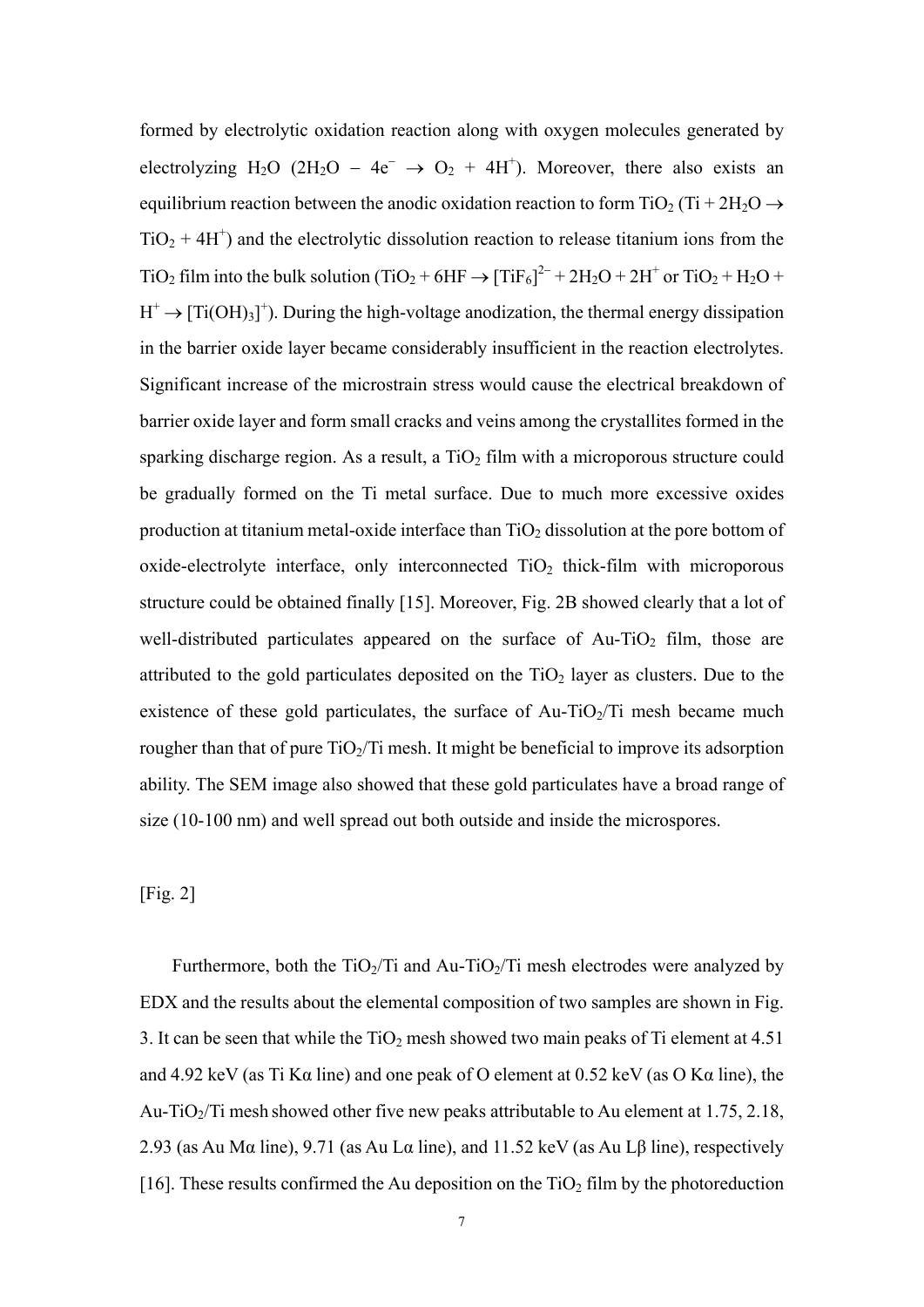formed by electrolytic oxidation reaction along with oxygen molecules generated by electrolyzing H<sub>2</sub>O (2H<sub>2</sub>O – 4e<sup>-</sup>  $\rightarrow$  O<sub>2</sub> + 4H<sup>+</sup>). Moreover, there also exists an equilibrium reaction between the anodic oxidation reaction to form TiO<sub>2</sub> (Ti + 2H<sub>2</sub>O  $\rightarrow$  $TiO<sub>2</sub> + 4H<sup>+</sup>$ ) and the electrolytic dissolution reaction to release titanium ions from the TiO<sub>2</sub> film into the bulk solution (TiO<sub>2</sub> + 6HF  $\rightarrow$  [TiF<sub>6</sub>]<sup>2–</sup> + 2H<sub>2</sub>O + 2H<sup>+</sup> or TiO<sub>2</sub> + H<sub>2</sub>O +  $H^+ \to [Ti(OH)_3]^+$ ). During the high-voltage anodization, the thermal energy dissipation in the barrier oxide layer became considerably insufficient in the reaction electrolytes. Significant increase of the microstrain stress would cause the electrical breakdown of barrier oxide layer and form small cracks and veins among the crystallites formed in the sparking discharge region. As a result, a  $TiO<sub>2</sub>$  film with a microporous structure could be gradually formed on the Ti metal surface. Due to much more excessive oxides production at titanium metal-oxide interface than  $TiO<sub>2</sub>$  dissolution at the pore bottom of oxide-electrolyte interface, only interconnected  $TiO<sub>2</sub>$  thick-film with microporous structure could be obtained finally [15]. Moreover, Fig. 2B showed clearly that a lot of well-distributed particulates appeared on the surface of  $Au-TiO<sub>2</sub>$  film, those are attributed to the gold particulates deposited on the  $TiO<sub>2</sub>$  layer as clusters. Due to the existence of these gold particulates, the surface of Au-TiO<sub>2</sub>/Ti mesh became much rougher than that of pure  $TiO<sub>2</sub>/Ti$  mesh. It might be beneficial to improve its adsorption ability. The SEM image also showed that these gold particulates have a broad range of size (10-100 nm) and well spread out both outside and inside the microspores.

## [Fig. 2]

Furthermore, both the  $TiO<sub>2</sub>/Ti$  and Au-TiO<sub>2</sub>/Ti mesh electrodes were analyzed by EDX and the results about the elemental composition of two samples are shown in Fig. 3. It can be seen that while the  $TiO<sub>2</sub>$  mesh showed two main peaks of Ti element at 4.51 and 4.92 keV (as Ti K $\alpha$  line) and one peak of O element at 0.52 keV (as O K $\alpha$  line), the Au-TiO<sub>2</sub>/Ti mesh showed other five new peaks attributable to Au element at 1.75, 2.18, 2.93 (as Au Mα line), 9.71 (as Au Lα line), and 11.52 keV (as Au L $\beta$  line), respectively [16]. These results confirmed the Au deposition on the  $TiO<sub>2</sub>$  film by the photoreduction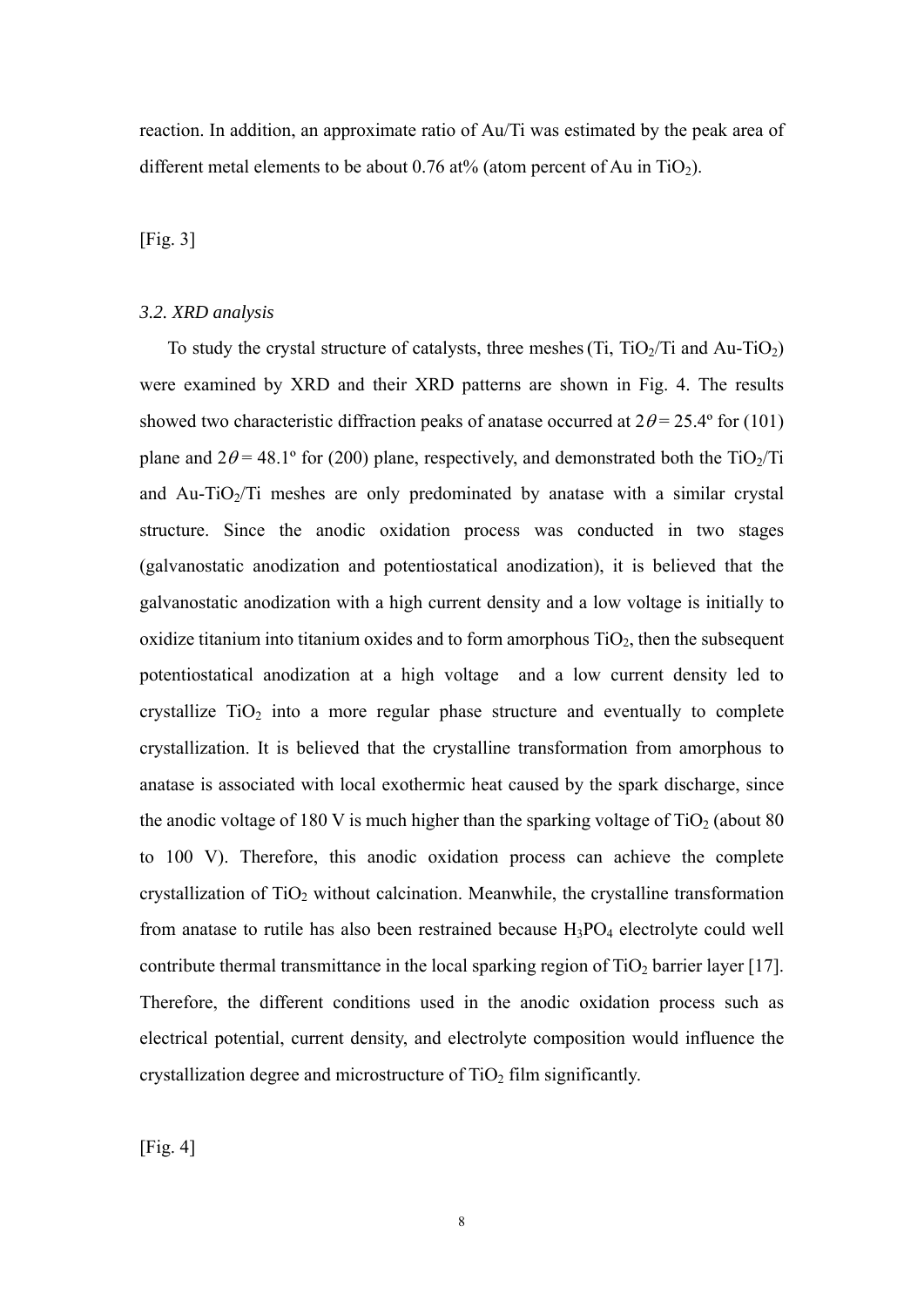reaction. In addition, an approximate ratio of Au/Ti was estimated by the peak area of different metal elements to be about 0.76 at% (atom percent of Au in TiO<sub>2</sub>).

### [Fig. 3]

#### *3.2. XRD analysis*

To study the crystal structure of catalysts, three meshes  $(T_i, TiO<sub>2</sub>/Ti)$  and Au-TiO<sub>2</sub>) were examined by XRD and their XRD patterns are shown in Fig. 4. The results showed two characteristic diffraction peaks of anatase occurred at  $2\theta = 25.4^{\circ}$  for (101) plane and  $2\theta = 48.1^{\circ}$  for (200) plane, respectively, and demonstrated both the TiO<sub>2</sub>/Ti and Au-TiO $2/Ti$  meshes are only predominated by anatase with a similar crystal structure. Since the anodic oxidation process was conducted in two stages (galvanostatic anodization and potentiostatical anodization), it is believed that the galvanostatic anodization with a high current density and a low voltage is initially to oxidize titanium into titanium oxides and to form amorphous  $TiO<sub>2</sub>$ , then the subsequent potentiostatical anodization at a high voltage and a low current density led to crystallize  $TiO<sub>2</sub>$  into a more regular phase structure and eventually to complete crystallization. It is believed that the crystalline transformation from amorphous to anatase is associated with local exothermic heat caused by the spark discharge, since the anodic voltage of 180 V is much higher than the sparking voltage of  $TiO<sub>2</sub>$  (about 80) to 100 V). Therefore, this anodic oxidation process can achieve the complete crystallization of  $TiO<sub>2</sub>$  without calcination. Meanwhile, the crystalline transformation from anatase to rutile has also been restrained because  $H_3PO_4$  electrolyte could well contribute thermal transmittance in the local sparking region of  $TiO<sub>2</sub>$  barrier layer [17]. Therefore, the different conditions used in the anodic oxidation process such as electrical potential, current density, and electrolyte composition would influence the crystallization degree and microstructure of  $TiO<sub>2</sub>$  film significantly.

[Fig. 4]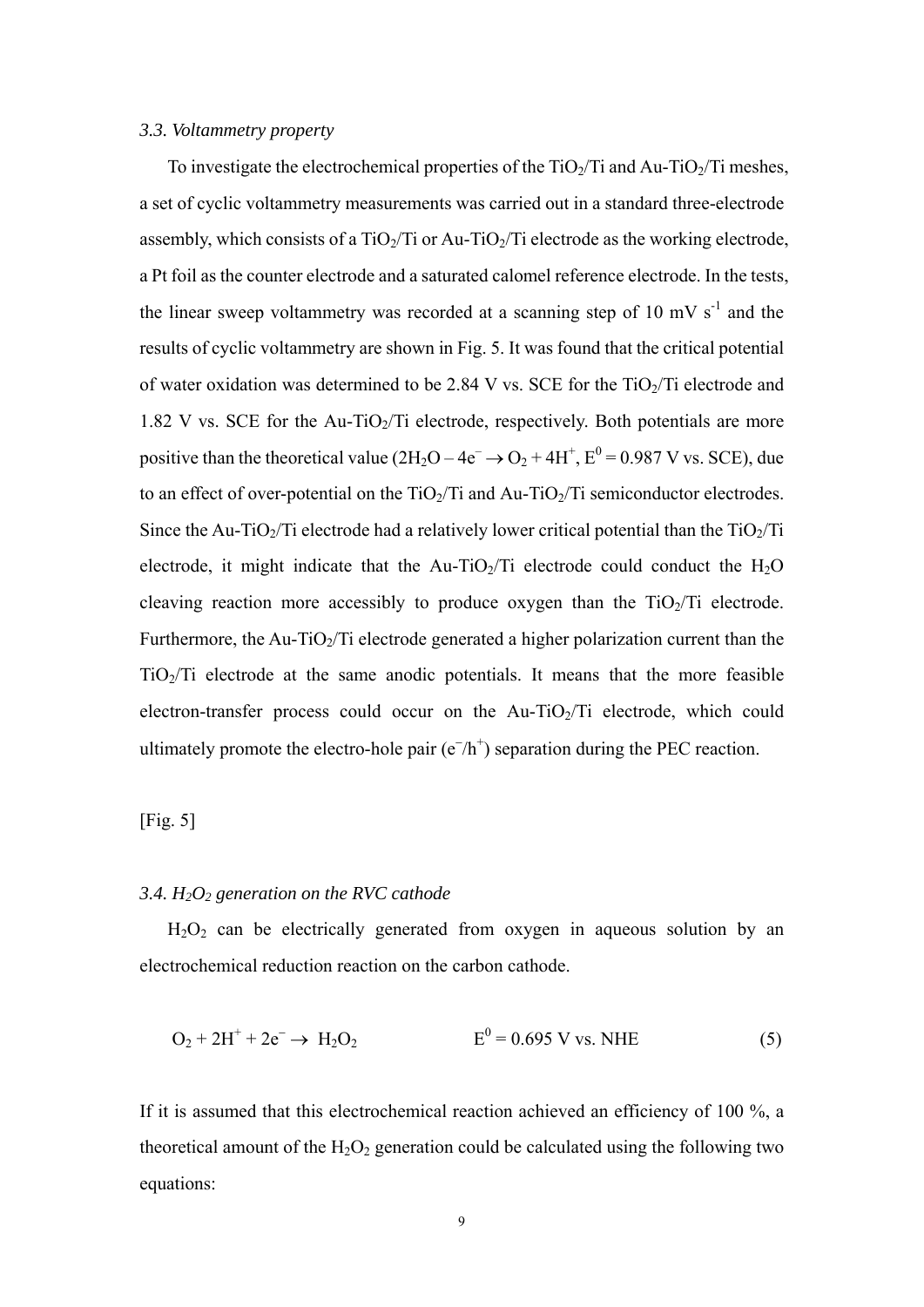## *3.3. Voltammetry property*

To investigate the electrochemical properties of the  $TiO<sub>2</sub>/Ti$  and Au-TiO $<sub>2</sub>/Ti$  meshes,</sub> a set of cyclic voltammetry measurements was carried out in a standard three-electrode assembly, which consists of a  $TiO<sub>2</sub>/Ti$  or Au-TiO<sub>2</sub>/Ti electrode as the working electrode, a Pt foil as the counter electrode and a saturated calomel reference electrode. In the tests, the linear sweep voltammetry was recorded at a scanning step of 10 mV  $s^{-1}$  and the results of cyclic voltammetry are shown in Fig. 5. It was found that the critical potential of water oxidation was determined to be 2.84 V vs. SCE for the  $TiO<sub>2</sub>/Ti$  electrode and 1.82 V vs. SCE for the Au-TiO<sub>2</sub>/Ti electrode, respectively. Both potentials are more positive than the theoretical value  $(2H_2O - 4e^- \rightarrow O_2 + 4H^+, E^0 = 0.987$  V vs. SCE), due to an effect of over-potential on the  $TiO<sub>2</sub>/Ti$  and Au- $TiO<sub>2</sub>/Ti$  semiconductor electrodes. Since the Au-TiO<sub>2</sub>/Ti electrode had a relatively lower critical potential than the TiO<sub>2</sub>/Ti electrode, it might indicate that the Au-TiO<sub>2</sub>/Ti electrode could conduct the  $H_2O$ cleaving reaction more accessibly to produce oxygen than the  $TiO<sub>2</sub>/Ti$  electrode. Furthermore, the Au-TiO<sub>2</sub>/Ti electrode generated a higher polarization current than the  $TiO<sub>2</sub>/Ti$  electrode at the same anodic potentials. It means that the more feasible electron-transfer process could occur on the Au-TiO<sub>2</sub>/Ti electrode, which could ultimately promote the electro-hole pair  $(e^{-}/h^{+})$  separation during the PEC reaction.

[Fig. 5]

## *3.4. H2O2 generation on the RVC cathode*

 $H<sub>2</sub>O<sub>2</sub>$  can be electrically generated from oxygen in aqueous solution by an electrochemical reduction reaction on the carbon cathode.

$$
O_2 + 2H^+ + 2e^- \to H_2O_2
$$
 E<sup>0</sup> = 0.695 V vs. NHE (5)

If it is assumed that this electrochemical reaction achieved an efficiency of 100 %, a theoretical amount of the  $H_2O_2$  generation could be calculated using the following two equations: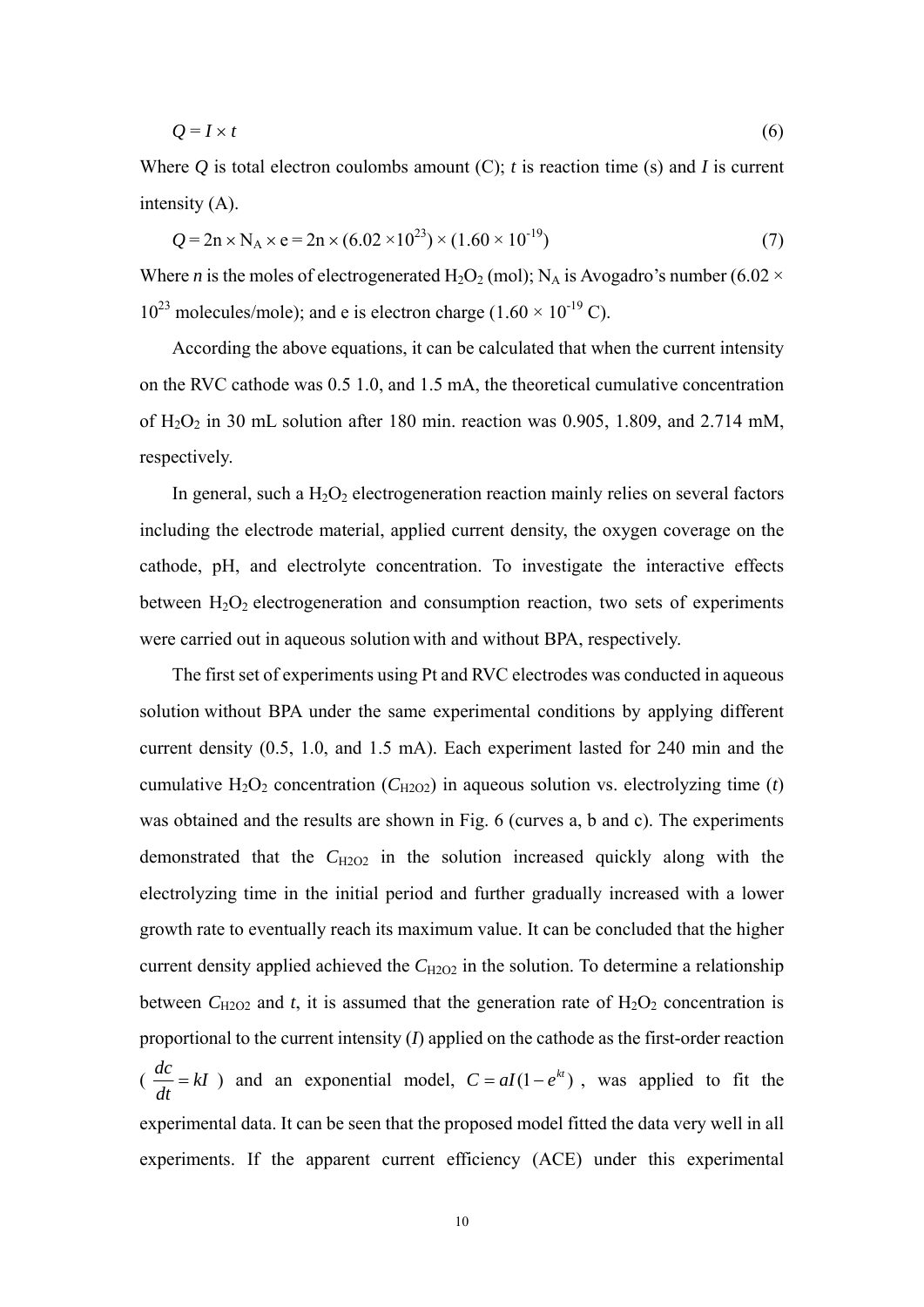$$
Q = I \times t \tag{6}
$$

Where  $Q$  is total electron coulombs amount  $(C)$ ; *t* is reaction time (s) and *I* is current intensity (A).

$$
Q = 2n \times N_A \times e = 2n \times (6.02 \times 10^{23}) \times (1.60 \times 10^{-19})
$$
\n(7)

Where *n* is the moles of electrogenerated H<sub>2</sub>O<sub>2</sub> (mol); N<sub>A</sub> is Avogadro's number (6.02  $\times$  $10^{23}$  molecules/mole); and e is electron charge (1.60  $\times$  10<sup>-19</sup> C).

According the above equations, it can be calculated that when the current intensity on the RVC cathode was 0.5 1.0, and 1.5 mA, the theoretical cumulative concentration of  $H_2O_2$  in 30 mL solution after 180 min. reaction was 0.905, 1.809, and 2.714 mM, respectively.

In general, such a  $H_2O_2$  electrogeneration reaction mainly relies on several factors including the electrode material, applied current density, the oxygen coverage on the cathode, pH, and electrolyte concentration. To investigate the interactive effects between  $H_2O_2$  electrogeneration and consumption reaction, two sets of experiments were carried out in aqueous solution with and without BPA, respectively.

The first set of experiments using Pt and RVC electrodes was conducted in aqueous solution without BPA under the same experimental conditions by applying different current density (0.5, 1.0, and 1.5 mA). Each experiment lasted for 240 min and the cumulative  $H_2O_2$  concentration ( $C_{H2O2}$ ) in aqueous solution vs. electrolyzing time (*t*) was obtained and the results are shown in Fig. 6 (curves a, b and c). The experiments demonstrated that the C<sub>H2O2</sub> in the solution increased quickly along with the electrolyzing time in the initial period and further gradually increased with a lower growth rate to eventually reach its maximum value. It can be concluded that the higher current density applied achieved the  $C_{H2O2}$  in the solution. To determine a relationship between  $C_{\text{H2O2}}$  and *t*, it is assumed that the generation rate of  $H_2O_2$  concentration is proportional to the current intensity (*I*) applied on the cathode as the first-order reaction  $\left(\frac{ac}{b}\right) = kI$ *dt*  $\frac{dc}{dt} = kI$ ) and an exponential model,  $C = aI(1 - e^{kt})$ , was applied to fit the experimental data. It can be seen that the proposed model fitted the data very well in all experiments. If the apparent current efficiency (ACE) under this experimental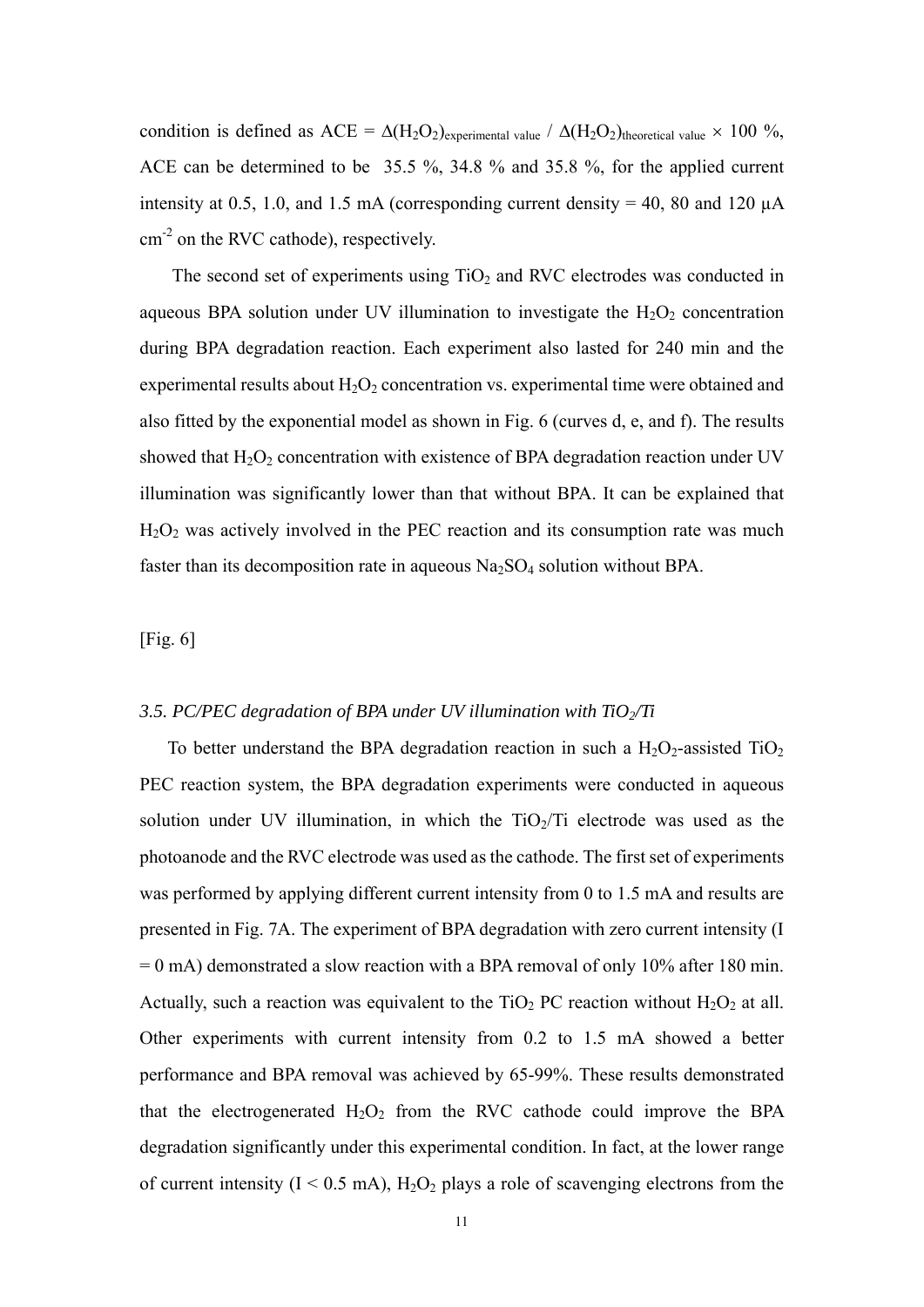condition is defined as ACE =  $\Delta(H_2O_2)$ <sub>experimental value</sub> /  $\Delta(H_2O_2)$ <sub>theoretical value</sub>  $\times$  100 %, ACE can be determined to be 35.5 %, 34.8 % and 35.8 %, for the applied current intensity at 0.5, 1.0, and 1.5 mA (corresponding current density = 40, 80 and 120  $\mu$ A cm<sup>-2</sup> on the RVC cathode), respectively.

The second set of experiments using  $TiO<sub>2</sub>$  and RVC electrodes was conducted in aqueous BPA solution under UV illumination to investigate the  $H_2O_2$  concentration during BPA degradation reaction. Each experiment also lasted for 240 min and the experimental results about  $H_2O_2$  concentration vs. experimental time were obtained and also fitted by the exponential model as shown in Fig. 6 (curves d, e, and f). The results showed that  $H_2O_2$  concentration with existence of BPA degradation reaction under UV illumination was significantly lower than that without BPA. It can be explained that H<sub>2</sub>O<sub>2</sub> was actively involved in the PEC reaction and its consumption rate was much faster than its decomposition rate in aqueous  $Na<sub>2</sub>SO<sub>4</sub>$  solution without BPA.

## [Fig. 6]

### *3.5. PC/PEC degradation of BPA under UV illumination with TiO2/Ti*

To better understand the BPA degradation reaction in such a  $H_2O_2$ -assisted TiO<sub>2</sub> PEC reaction system, the BPA degradation experiments were conducted in aqueous solution under UV illumination, in which the  $TiO<sub>2</sub>/Ti$  electrode was used as the photoanode and the RVC electrode was used as the cathode. The first set of experiments was performed by applying different current intensity from 0 to 1.5 mA and results are presented in Fig. 7A. The experiment of BPA degradation with zero current intensity (I  $= 0$  mA) demonstrated a slow reaction with a BPA removal of only 10% after 180 min. Actually, such a reaction was equivalent to the TiO<sub>2</sub> PC reaction without  $H_2O_2$  at all. Other experiments with current intensity from 0.2 to 1.5 mA showed a better performance and BPA removal was achieved by 65-99%. These results demonstrated that the electrogenerated  $H_2O_2$  from the RVC cathode could improve the BPA degradation significantly under this experimental condition. In fact, at the lower range of current intensity  $(I \le 0.5 \text{ mA})$ ,  $H_2O_2$  plays a role of scavenging electrons from the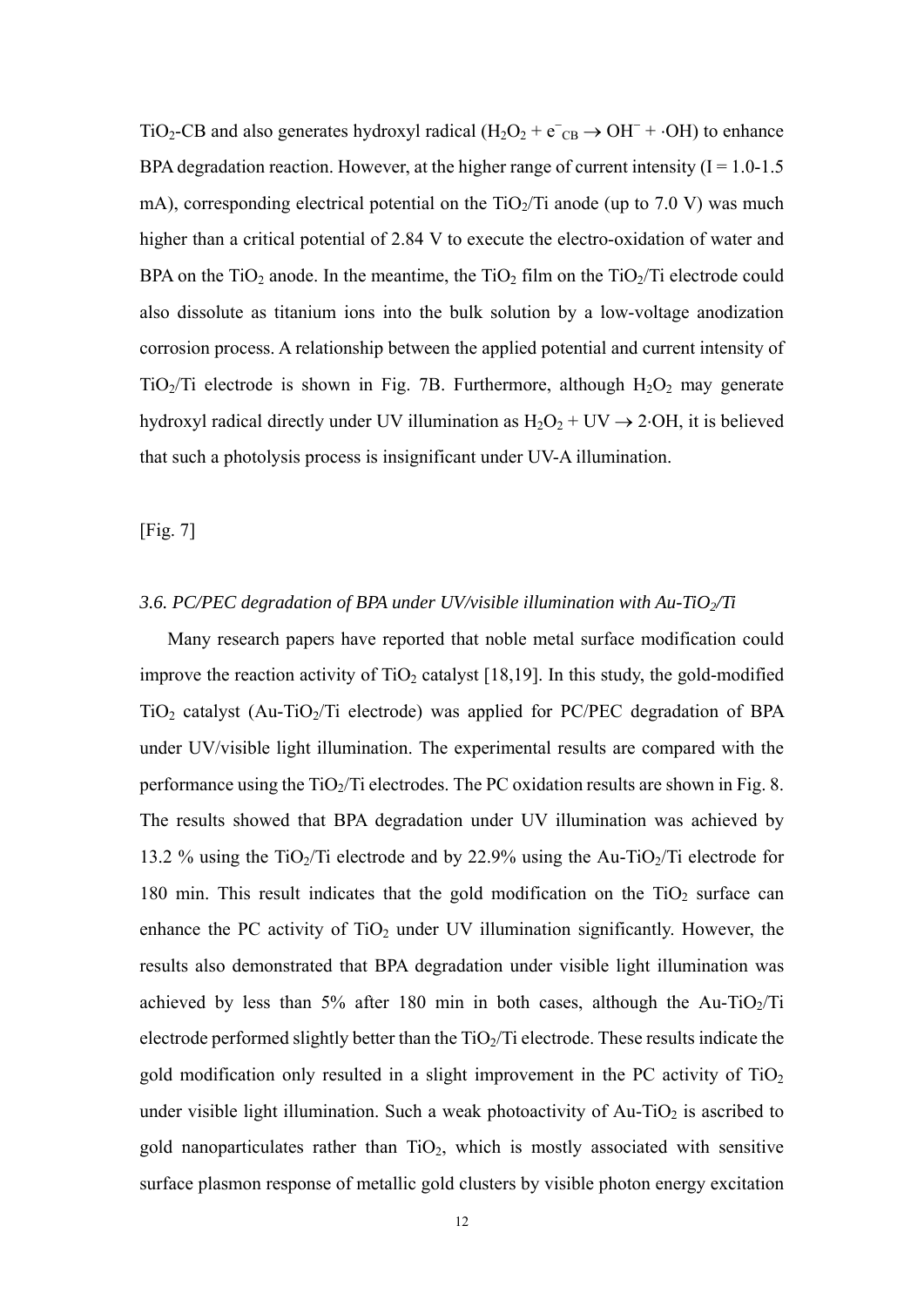TiO<sub>2</sub>-CB and also generates hydroxyl radical ( $H_2O_2 + e^-C_8 \rightarrow OH^- + OH$ ) to enhance BPA degradation reaction. However, at the higher range of current intensity  $(I = 1.0 - 1.5$ mA), corresponding electrical potential on the  $TiO<sub>2</sub>/Ti$  anode (up to 7.0 V) was much higher than a critical potential of 2.84 V to execute the electro-oxidation of water and BPA on the  $TiO<sub>2</sub>$  anode. In the meantime, the  $TiO<sub>2</sub>$  film on the  $TiO<sub>2</sub>/Ti$  electrode could also dissolute as titanium ions into the bulk solution by a low-voltage anodization corrosion process. A relationship between the applied potential and current intensity of TiO<sub>2</sub>/Ti electrode is shown in Fig. 7B. Furthermore, although  $H_2O_2$  may generate hydroxyl radical directly under UV illumination as  $H_2O_2 + UV \rightarrow 2 OH$ , it is believed that such a photolysis process is insignificant under UV-A illumination.

[Fig. 7]

## *3.6. PC/PEC degradation of BPA under UV/visible illumination with Au-TiO2/Ti*

Many research papers have reported that noble metal surface modification could improve the reaction activity of  $TiO<sub>2</sub>$  catalyst [18,19]. In this study, the gold-modified  $TiO<sub>2</sub>$  catalyst (Au-TiO<sub>2</sub>/Ti electrode) was applied for PC/PEC degradation of BPA under UV/visible light illumination. The experimental results are compared with the performance using the  $TiO<sub>2</sub>/Ti$  electrodes. The PC oxidation results are shown in Fig. 8. The results showed that BPA degradation under UV illumination was achieved by 13.2 % using the TiO<sub>2</sub>/Ti electrode and by 22.9% using the Au-TiO<sub>2</sub>/Ti electrode for 180 min. This result indicates that the gold modification on the  $TiO<sub>2</sub>$  surface can enhance the PC activity of  $TiO<sub>2</sub>$  under UV illumination significantly. However, the results also demonstrated that BPA degradation under visible light illumination was achieved by less than 5% after 180 min in both cases, although the Au-TiO<sub>2</sub>/Ti electrode performed slightly better than the  $TiO<sub>2</sub>/Ti$  electrode. These results indicate the gold modification only resulted in a slight improvement in the PC activity of  $TiO<sub>2</sub>$ under visible light illumination. Such a weak photoactivity of  $Au-TiO<sub>2</sub>$  is ascribed to gold nanoparticulates rather than  $TiO<sub>2</sub>$ , which is mostly associated with sensitive surface plasmon response of metallic gold clusters by visible photon energy excitation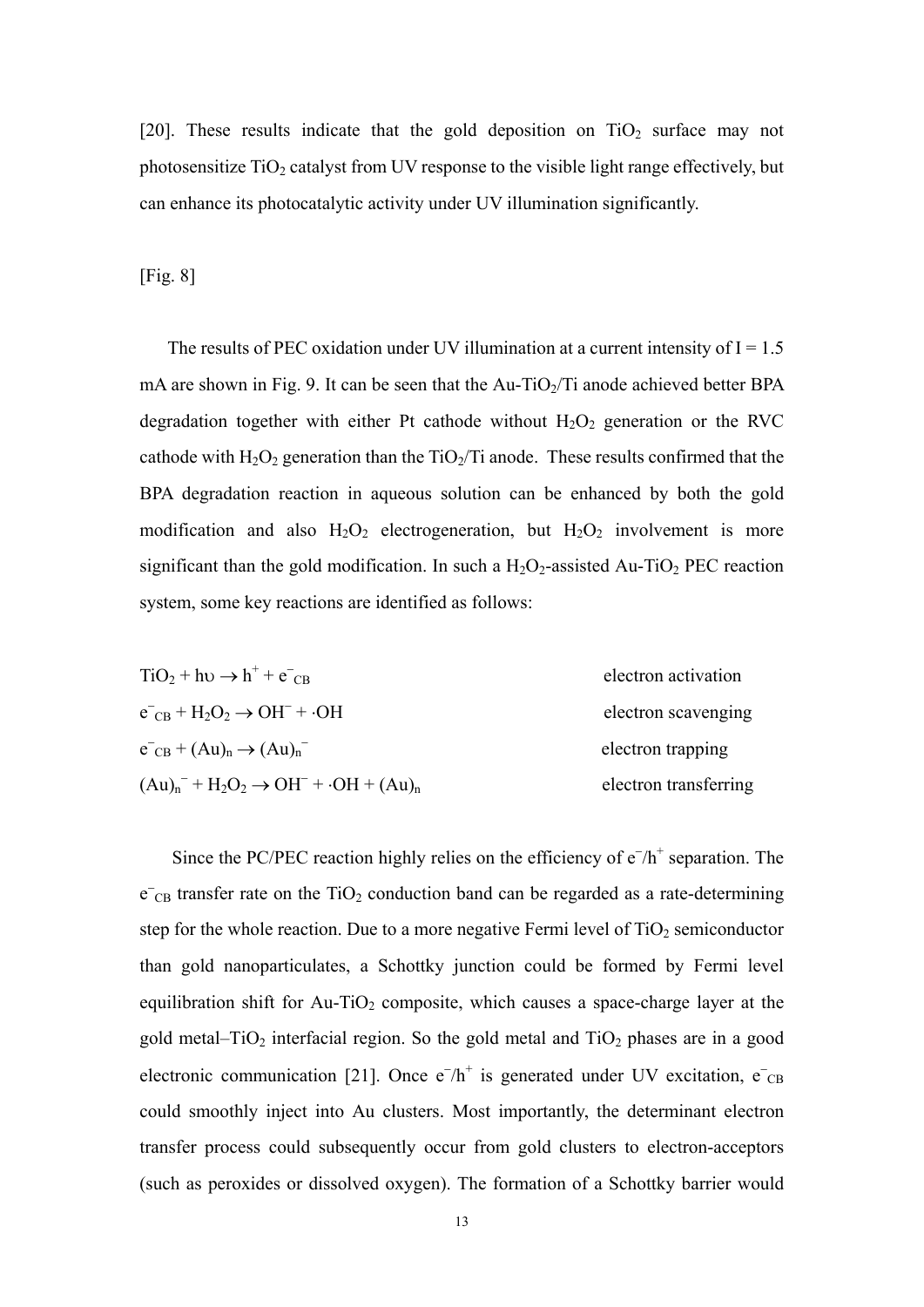[20]. These results indicate that the gold deposition on  $TiO<sub>2</sub>$  surface may not photosensitize  $TiO<sub>2</sub>$  catalyst from UV response to the visible light range effectively, but can enhance its photocatalytic activity under UV illumination significantly.

[Fig. 8]

The results of PEC oxidation under UV illumination at a current intensity of  $I = 1.5$ mA are shown in Fig. 9. It can be seen that the  $Au-TiO_2/Ti$  anode achieved better BPA degradation together with either Pt cathode without  $H_2O_2$  generation or the RVC cathode with  $H_2O_2$  generation than the TiO<sub>2</sub>/Ti anode. These results confirmed that the BPA degradation reaction in aqueous solution can be enhanced by both the gold modification and also  $H_2O_2$  electrogeneration, but  $H_2O_2$  involvement is more significant than the gold modification. In such a  $H_2O_2$ -assisted Au-TiO<sub>2</sub> PEC reaction system, some key reactions are identified as follows:

| $TiO2 + h\nu \rightarrow h+ + e-_{CB}$          | electron activation   |
|-------------------------------------------------|-----------------------|
| $e^-_{CB} + H_2O_2 \rightarrow OH^- + \cdot OH$ | electron scavenging   |
| $e^-_{CB} + (Au)_n \rightarrow (Au)_n$          | electron trapping     |
| $(Au)n- + H2O2 \rightarrow OH- + OH + (Au)n$    | electron transferring |

Since the PC/PEC reaction highly relies on the efficiency of  $e^{-}/h^{+}$  separation. The  $\overline{e}_{CB}$  transfer rate on the TiO<sub>2</sub> conduction band can be regarded as a rate-determining step for the whole reaction. Due to a more negative Fermi level of  $TiO<sub>2</sub>$  semiconductor than gold nanoparticulates, a Schottky junction could be formed by Fermi level equilibration shift for Au-TiO<sub>2</sub> composite, which causes a space-charge layer at the gold metal– $TiO<sub>2</sub>$  interfacial region. So the gold metal and  $TiO<sub>2</sub>$  phases are in a good electronic communication [21]. Once  $e^{-}/h^{+}$  is generated under UV excitation,  $e^{-}$ <sub>CB</sub> could smoothly inject into Au clusters. Most importantly, the determinant electron transfer process could subsequently occur from gold clusters to electron-acceptors (such as peroxides or dissolved oxygen). The formation of a Schottky barrier would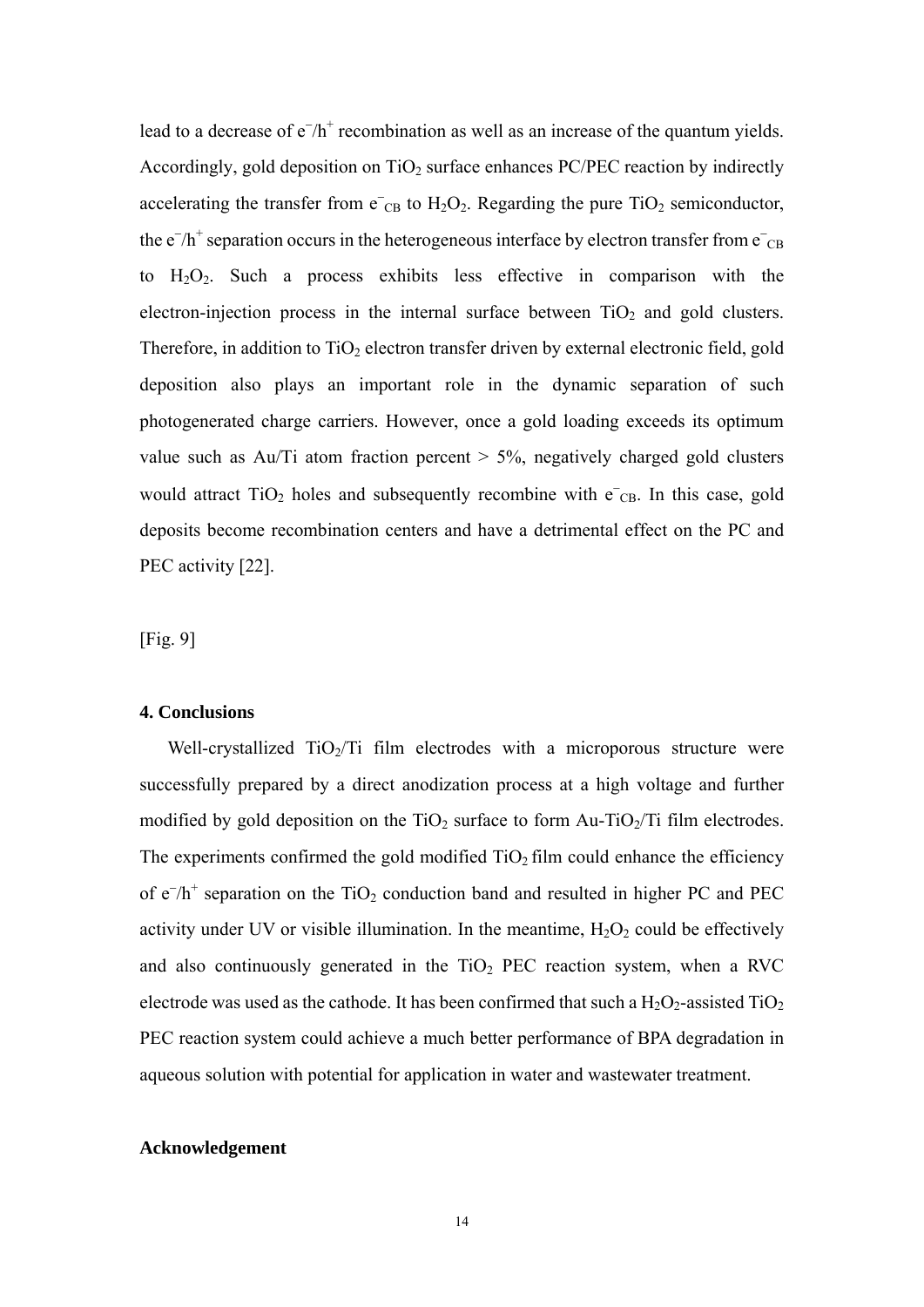lead to a decrease of  $e^{-}/h^{+}$  recombination as well as an increase of the quantum yields. Accordingly, gold deposition on  $TiO<sub>2</sub>$  surface enhances PC/PEC reaction by indirectly accelerating the transfer from  $e^-$ <sub>CB</sub> to  $H_2O_2$ . Regarding the pure TiO<sub>2</sub> semiconductor, the  $e^{-}/h^{+}$  separation occurs in the heterogeneous interface by electron transfer from  $e^{-}$ <sub>CB</sub> to H2O2. Such a process exhibits less effective in comparison with the electron-injection process in the internal surface between  $TiO<sub>2</sub>$  and gold clusters. Therefore, in addition to  $TiO<sub>2</sub>$  electron transfer driven by external electronic field, gold deposition also plays an important role in the dynamic separation of such photogenerated charge carriers. However, once a gold loading exceeds its optimum value such as Au/Ti atom fraction percent  $> 5\%$ , negatively charged gold clusters would attract  $TiO<sub>2</sub>$  holes and subsequently recombine with  $e<sub>CB</sub>$ . In this case, gold deposits become recombination centers and have a detrimental effect on the PC and PEC activity [22].

[Fig. 9]

## **4. Conclusions**

Well-crystallized  $TiO<sub>2</sub>/Ti$  film electrodes with a microporous structure were successfully prepared by a direct anodization process at a high voltage and further modified by gold deposition on the  $TiO<sub>2</sub>$  surface to form Au-TiO<sub>2</sub>/Ti film electrodes. The experiments confirmed the gold modified  $TiO<sub>2</sub>$  film could enhance the efficiency of  $e^{-}/h^{+}$  separation on the TiO<sub>2</sub> conduction band and resulted in higher PC and PEC activity under UV or visible illumination. In the meantime,  $H_2O_2$  could be effectively and also continuously generated in the  $TiO<sub>2</sub> PEC$  reaction system, when a RVC electrode was used as the cathode. It has been confirmed that such a  $H_2O_2$ -assisted  $TiO_2$ PEC reaction system could achieve a much better performance of BPA degradation in aqueous solution with potential for application in water and wastewater treatment.

# **Acknowledgement**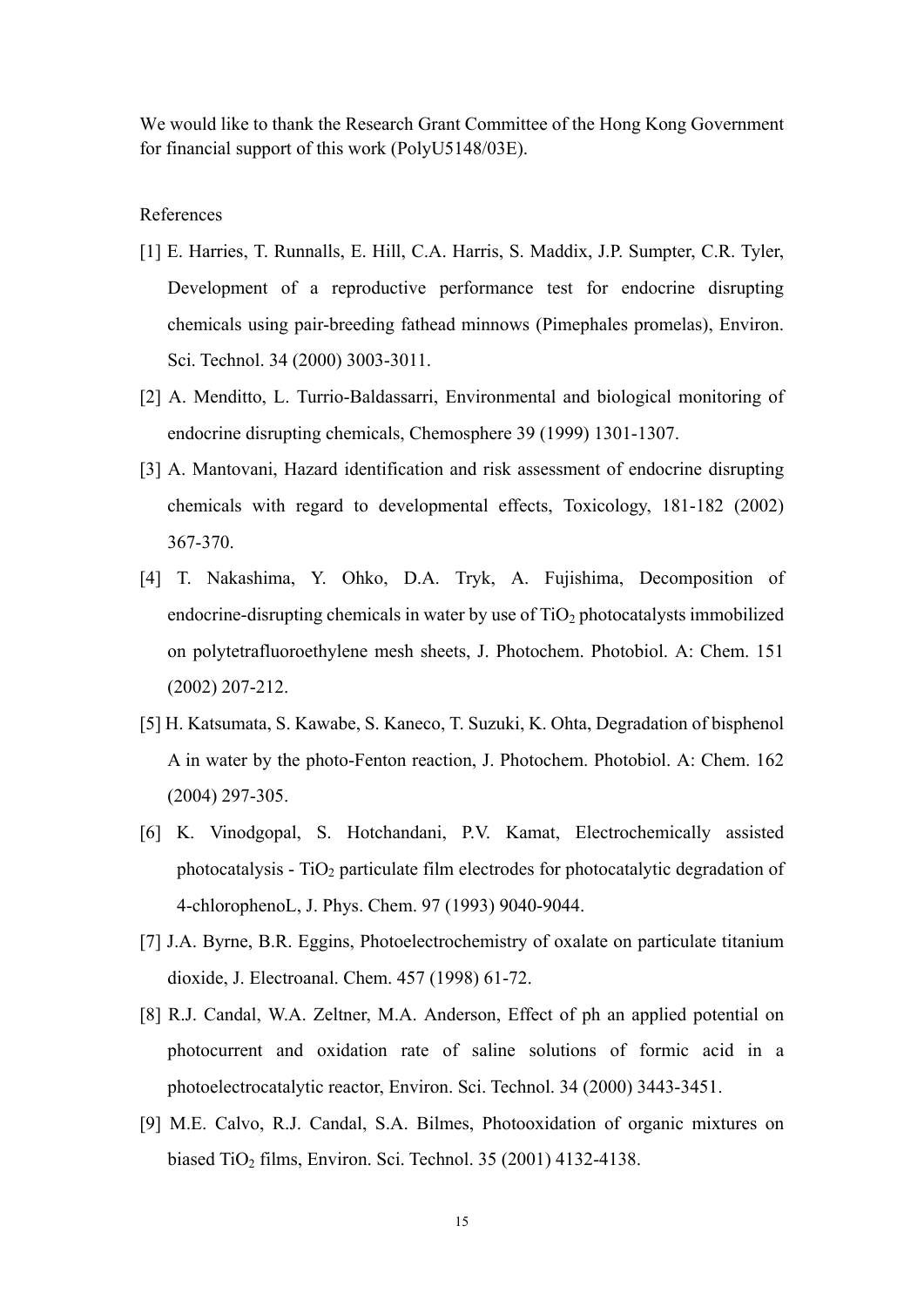We would like to thank the Research Grant Committee of the Hong Kong Government for financial support of this work (PolyU5148/03E).

# References

- [1] E. Harries, T. Runnalls, E. Hill, C.A. Harris, S. Maddix, J.P. Sumpter, C.R. Tyler, Development of a reproductive performance test for endocrine disrupting chemicals using pair-breeding fathead minnows (Pimephales promelas), Environ. Sci. Technol. 34 (2000) 3003-3011.
- [2] A. Menditto, L. Turrio-Baldassarri, Environmental and biological monitoring of endocrine disrupting chemicals, Chemosphere 39 (1999) 1301-1307.
- [3] A. Mantovani, Hazard identification and risk assessment of endocrine disrupting chemicals with regard to developmental effects, Toxicology, 181-182 (2002) 367-370.
- [4] T. Nakashima, Y. Ohko, D.A. Tryk, A. Fujishima, Decomposition of endocrine-disrupting chemicals in water by use of  $TiO<sub>2</sub>$  photocatalysts immobilized on polytetrafluoroethylene mesh sheets, J. Photochem. Photobiol. A: Chem. 151 (2002) 207-212.
- [5] H. Katsumata, S. Kawabe, S. Kaneco, T. Suzuki, K. Ohta, Degradation of bisphenol A in water by the photo-Fenton reaction, J. Photochem. Photobiol. A: Chem. 162 (2004) 297-305.
- [6] K. Vinodgopal, S. Hotchandani, P.V. Kamat, Electrochemically assisted photocatalysis -  $TiO<sub>2</sub>$  particulate film electrodes for photocatalytic degradation of 4-chlorophenoL, J. Phys. Chem. 97 (1993) 9040-9044.
- [7] J.A. Byrne, B.R. Eggins, Photoelectrochemistry of oxalate on particulate titanium dioxide, J. Electroanal. Chem. 457 (1998) 61-72.
- [8] R.J. Candal, W.A. Zeltner, M.A. Anderson, Effect of ph an applied potential on photocurrent and oxidation rate of saline solutions of formic acid in a photoelectrocatalytic reactor, Environ. Sci. Technol. 34 (2000) 3443-3451.
- [9] M.E. Calvo, R.J. Candal, S.A. Bilmes, Photooxidation of organic mixtures on biased TiO<sub>2</sub> films, Environ. Sci. Technol. 35 (2001) 4132-4138.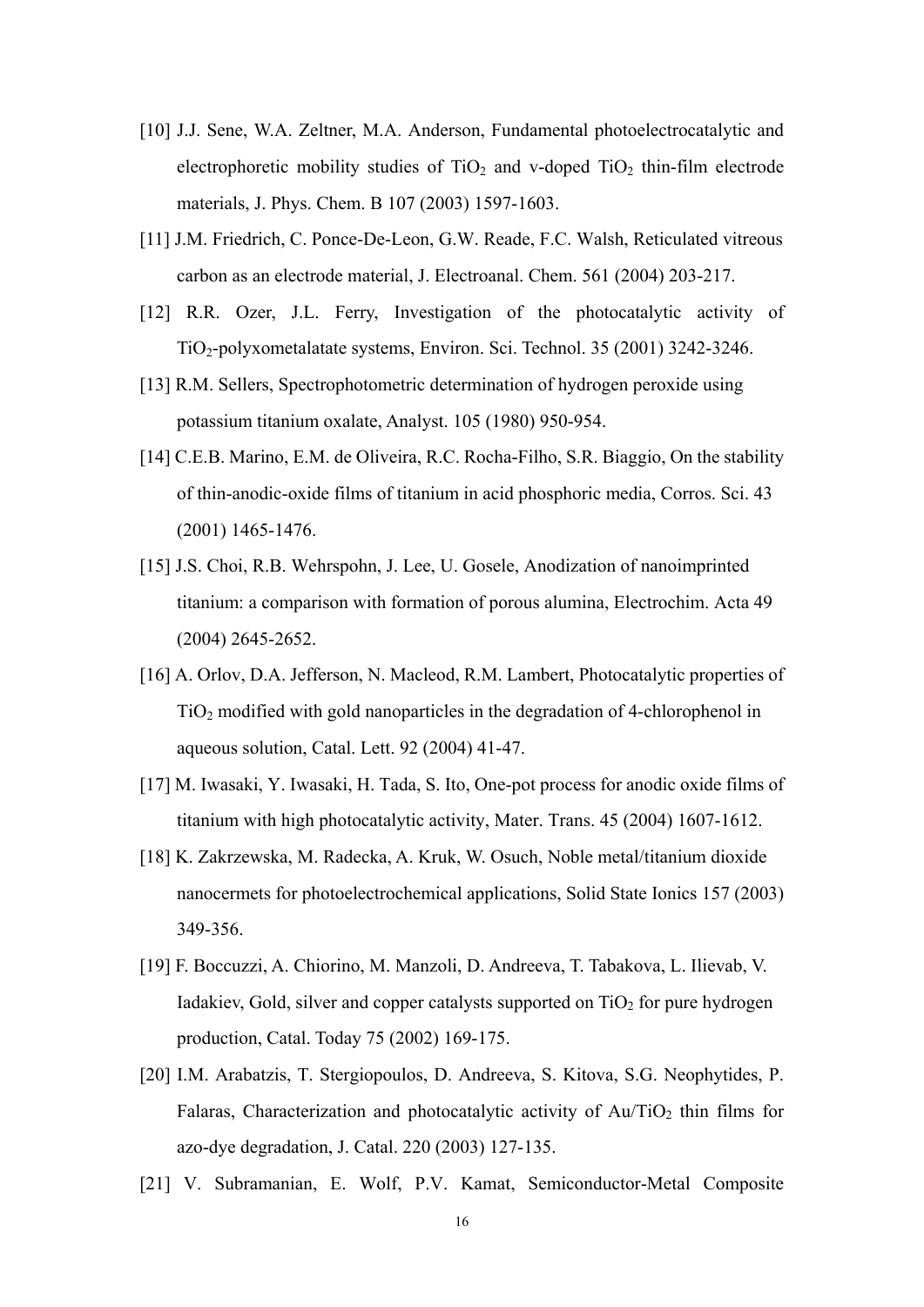- [10] J.J. Sene, W.A. Zeltner, M.A. Anderson, Fundamental photoelectrocatalytic and electrophoretic mobility studies of  $TiO<sub>2</sub>$  and v-doped  $TiO<sub>2</sub>$  thin-film electrode materials, J. Phys. Chem. B 107 (2003) 1597-1603.
- [11] J.M. Friedrich, C. Ponce-De-Leon, G.W. Reade, F.C. Walsh, Reticulated vitreous carbon as an electrode material, J. Electroanal. Chem. 561 (2004) 203-217.
- [12] R.R. Ozer, J.L. Ferry, Investigation of the photocatalytic activity of TiO2-polyxometalatate systems, Environ. Sci. Technol. 35 (2001) 3242-3246.
- [13] R.M. Sellers, Spectrophotometric determination of hydrogen peroxide using potassium titanium oxalate, Analyst. 105 (1980) 950-954.
- [14] C.E.B. Marino, E.M. de Oliveira, R.C. Rocha-Filho, S.R. Biaggio, On the stability of thin-anodic-oxide films of titanium in acid phosphoric media, Corros. Sci. 43 (2001) 1465-1476.
- [15] J.S. Choi, R.B. Wehrspohn, J. Lee, U. Gosele, Anodization of nanoimprinted titanium: a comparison with formation of porous alumina, Electrochim. Acta 49 (2004) 2645-2652.
- [16] A. Orlov, D.A. Jefferson, N. Macleod, R.M. Lambert, Photocatalytic properties of TiO2 modified with gold nanoparticles in the degradation of 4-chlorophenol in aqueous solution, Catal. Lett. 92 (2004) 41-47.
- [17] M. Iwasaki, Y. Iwasaki, H. Tada, S. Ito, One-pot process for anodic oxide films of titanium with high photocatalytic activity, Mater. Trans. 45 (2004) 1607-1612.
- [18] K. Zakrzewska, M. Radecka, A. Kruk, W. Osuch, Noble metal/titanium dioxide nanocermets for photoelectrochemical applications, Solid State Ionics 157 (2003) 349-356.
- [19] F. Boccuzzi, A. Chiorino, M. Manzoli, D. Andreeva, T. Tabakova, L. Ilievab, V. Iadakiev, Gold, silver and copper catalysts supported on  $TiO<sub>2</sub>$  for pure hydrogen production, Catal. Today 75 (2002) 169-175.
- [20] I.M. Arabatzis, T. Stergiopoulos, D. Andreeva, S. Kitova, S.G. Neophytides, P. Falaras, Characterization and photocatalytic activity of  $Au/TiO<sub>2</sub>$  thin films for azo-dye degradation, J. Catal. 220 (2003) 127-135.
- [21] V. Subramanian, E. Wolf, P.V. Kamat, Semiconductor-Metal Composite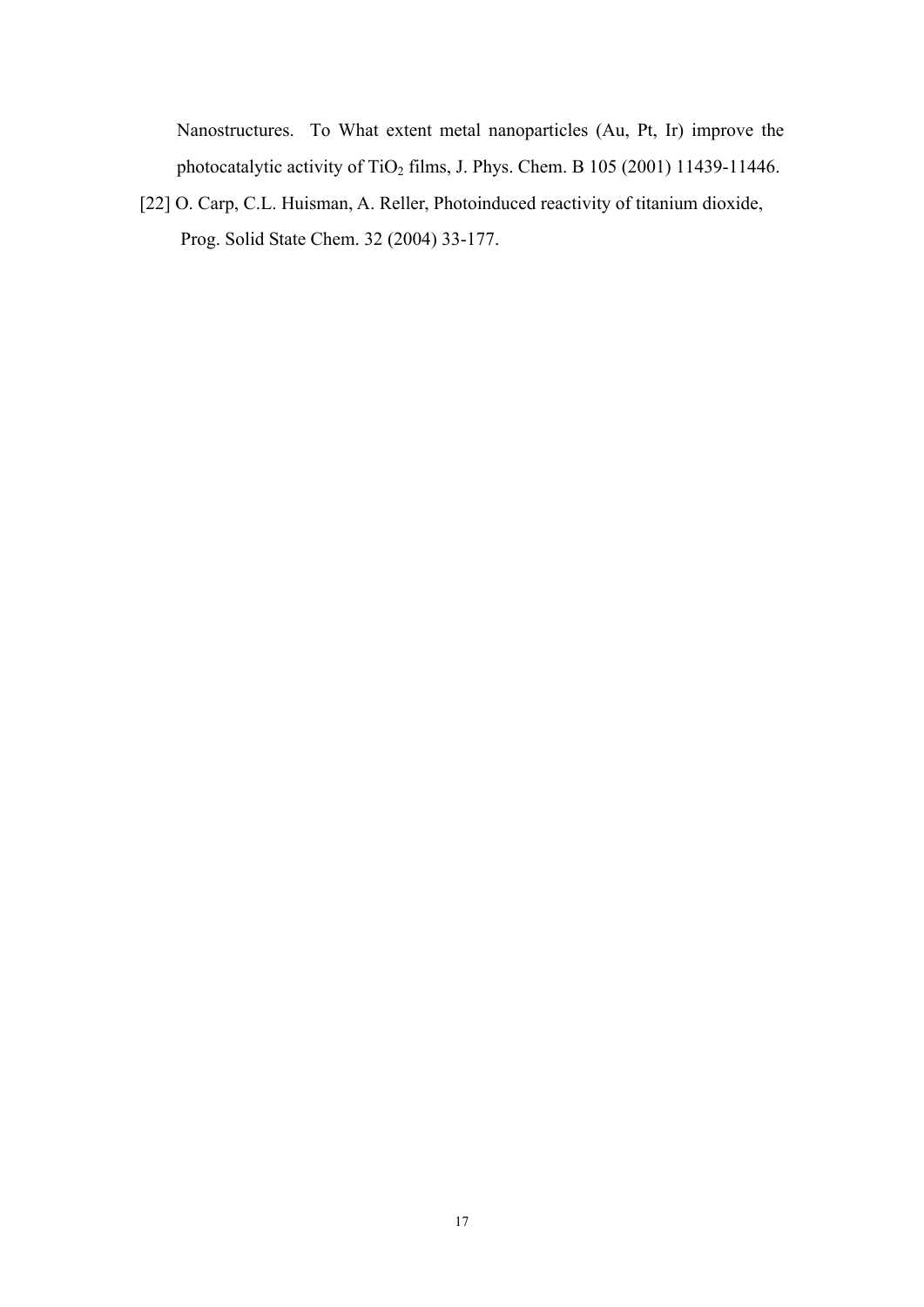Nanostructures. To What extent metal nanoparticles (Au, Pt, Ir) improve the photocatalytic activity of TiO<sub>2</sub> films, J. Phys. Chem. B 105 (2001) 11439-11446.

[22] O. Carp, C.L. Huisman, A. Reller, Photoinduced reactivity of titanium dioxide, Prog. Solid State Chem. 32 (2004) 33-177.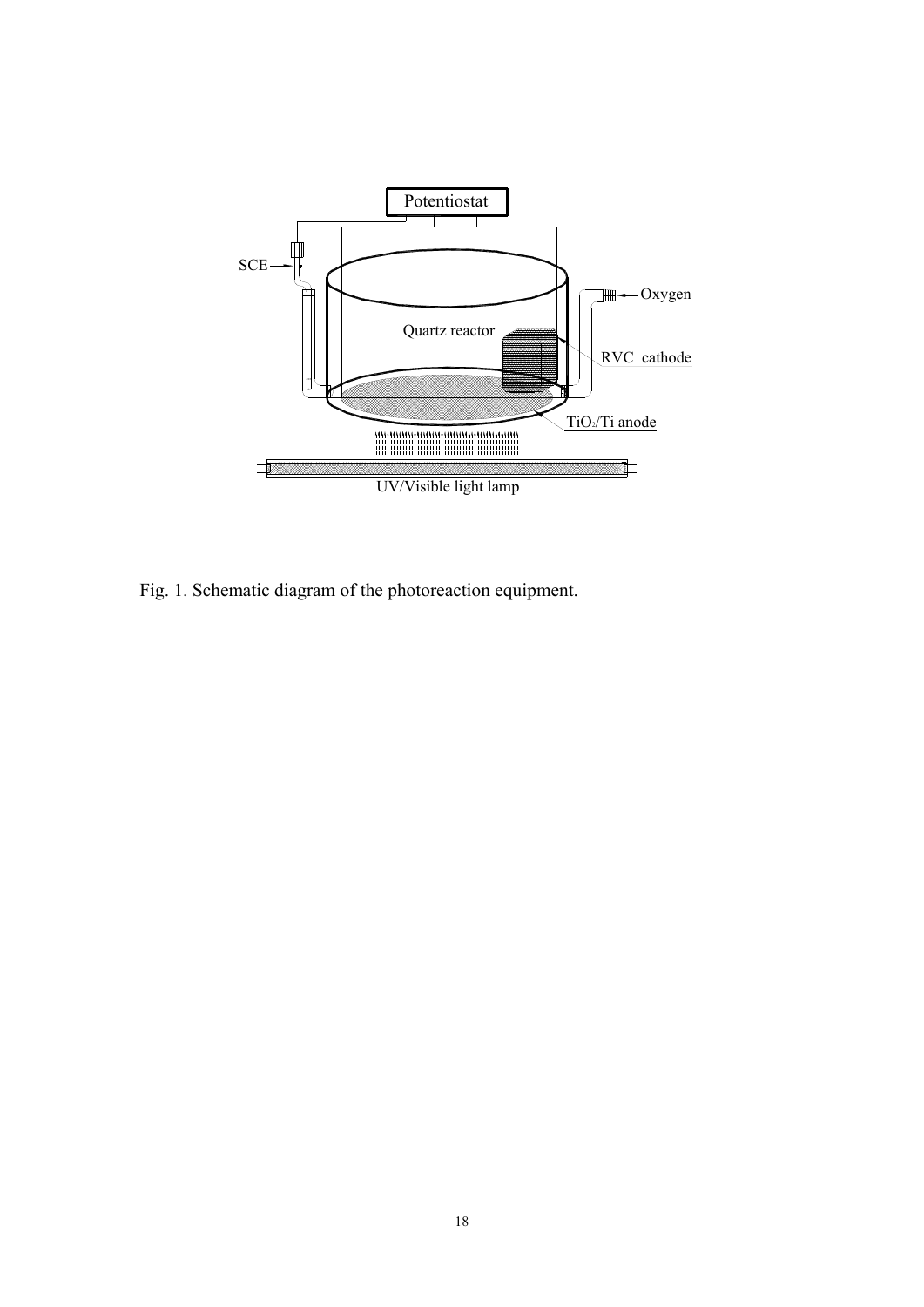

Fig. 1. Schematic diagram of the photoreaction equipment.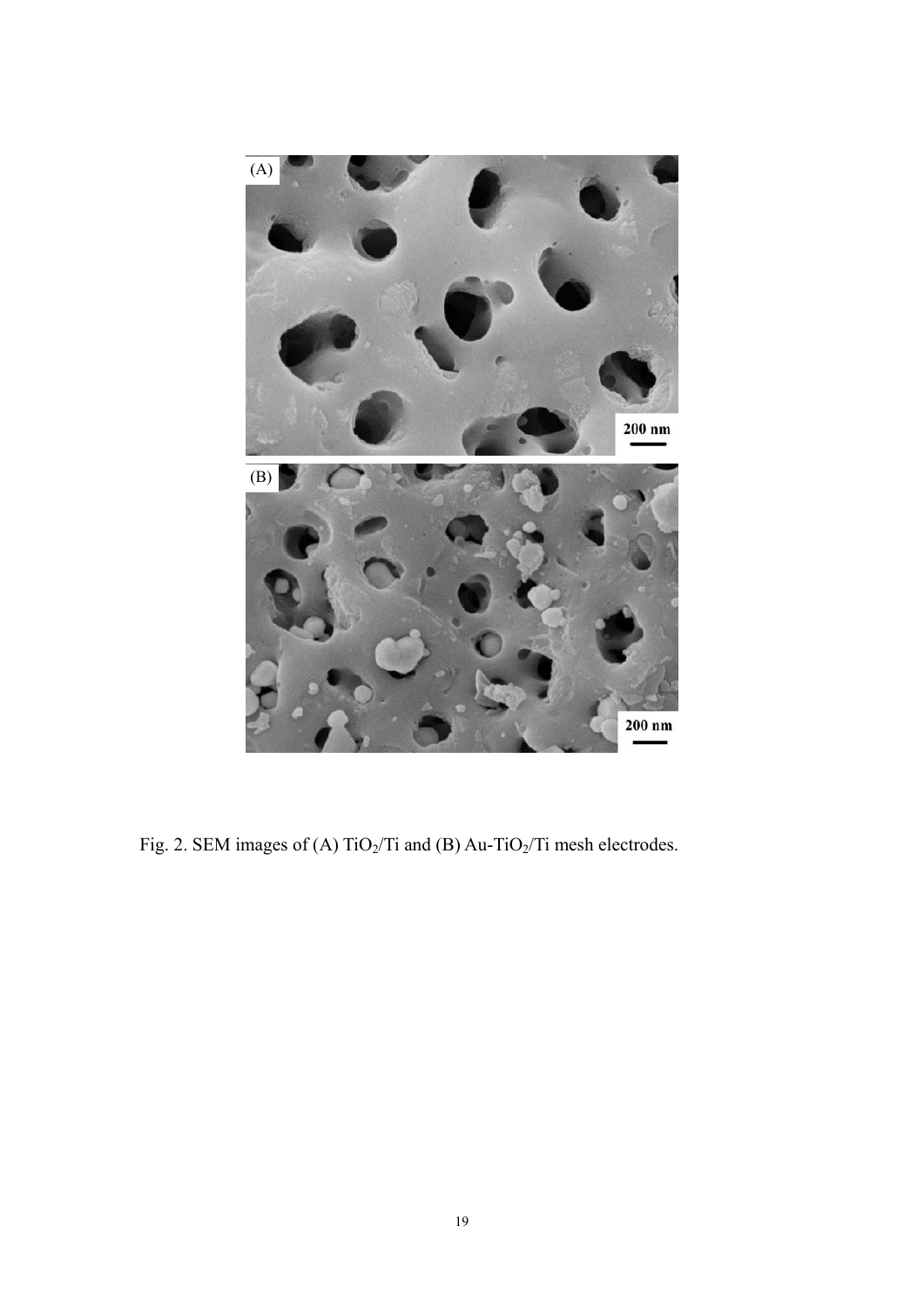

Fig. 2. SEM images of (A) TiO<sub>2</sub>/Ti and (B) Au-TiO<sub>2</sub>/Ti mesh electrodes.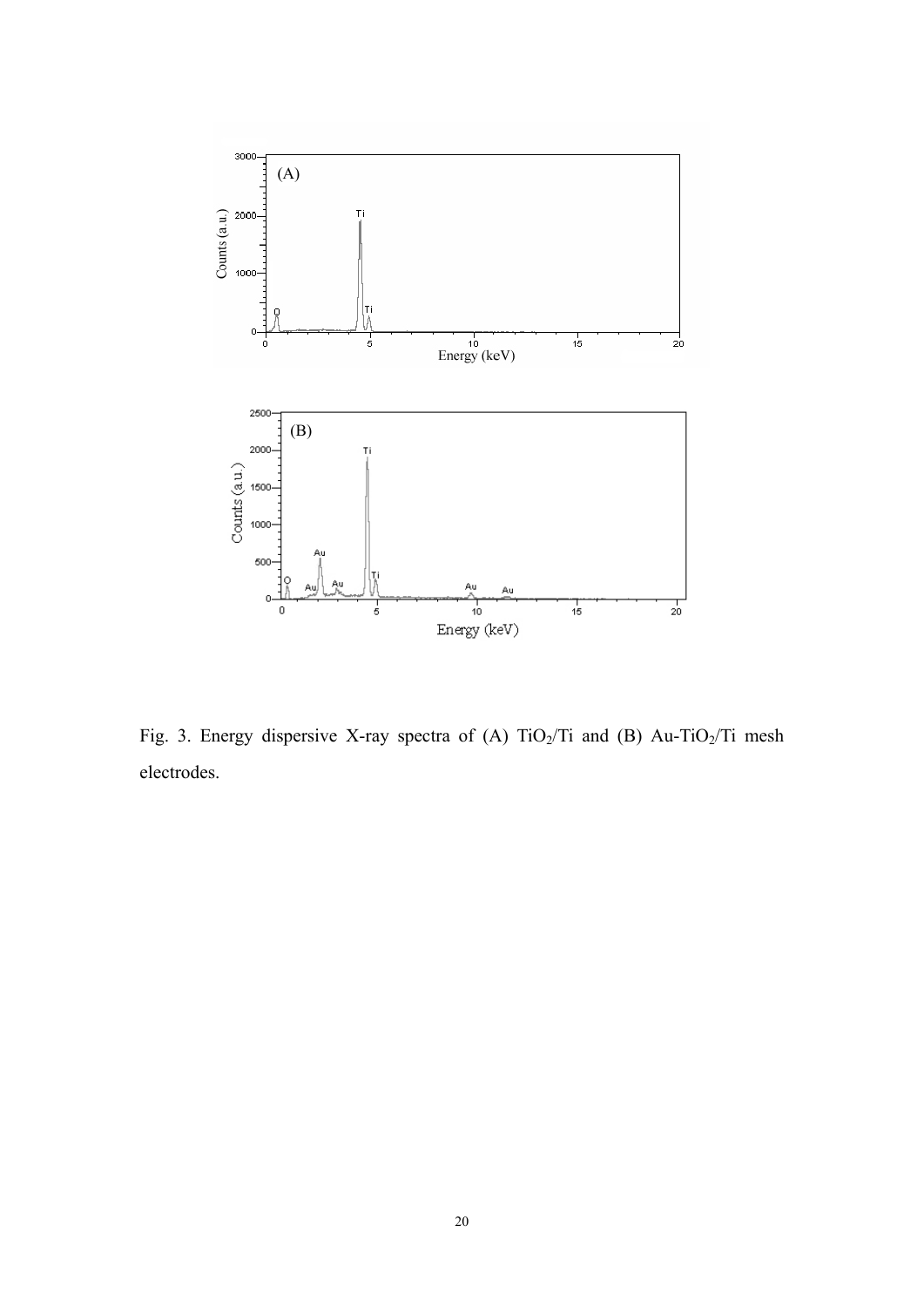

Fig. 3. Energy dispersive X-ray spectra of (A) TiO<sub>2</sub>/Ti and (B) Au-TiO<sub>2</sub>/Ti mesh electrodes.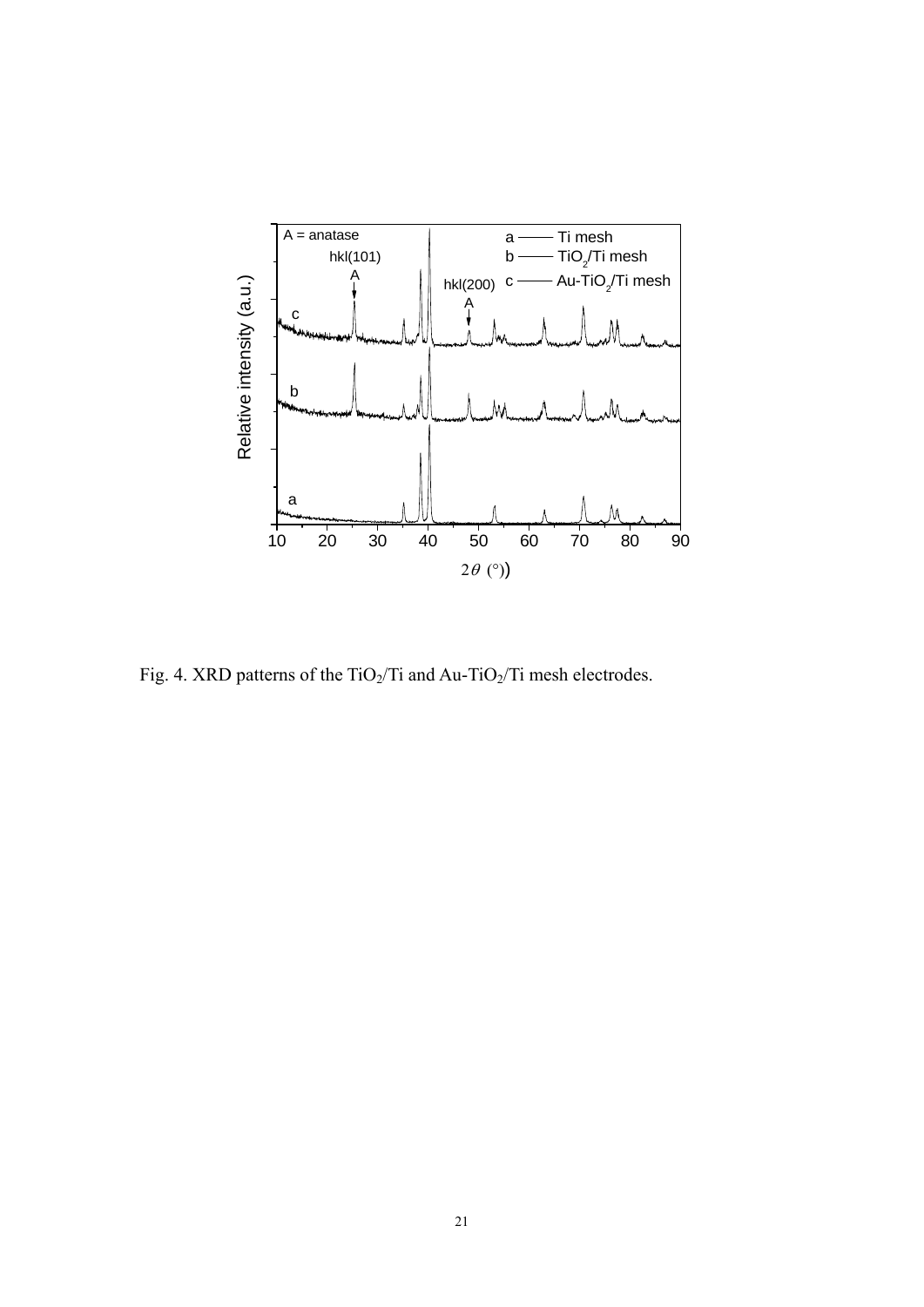

Fig. 4. XRD patterns of the TiO<sub>2</sub>/Ti and Au-TiO<sub>2</sub>/Ti mesh electrodes.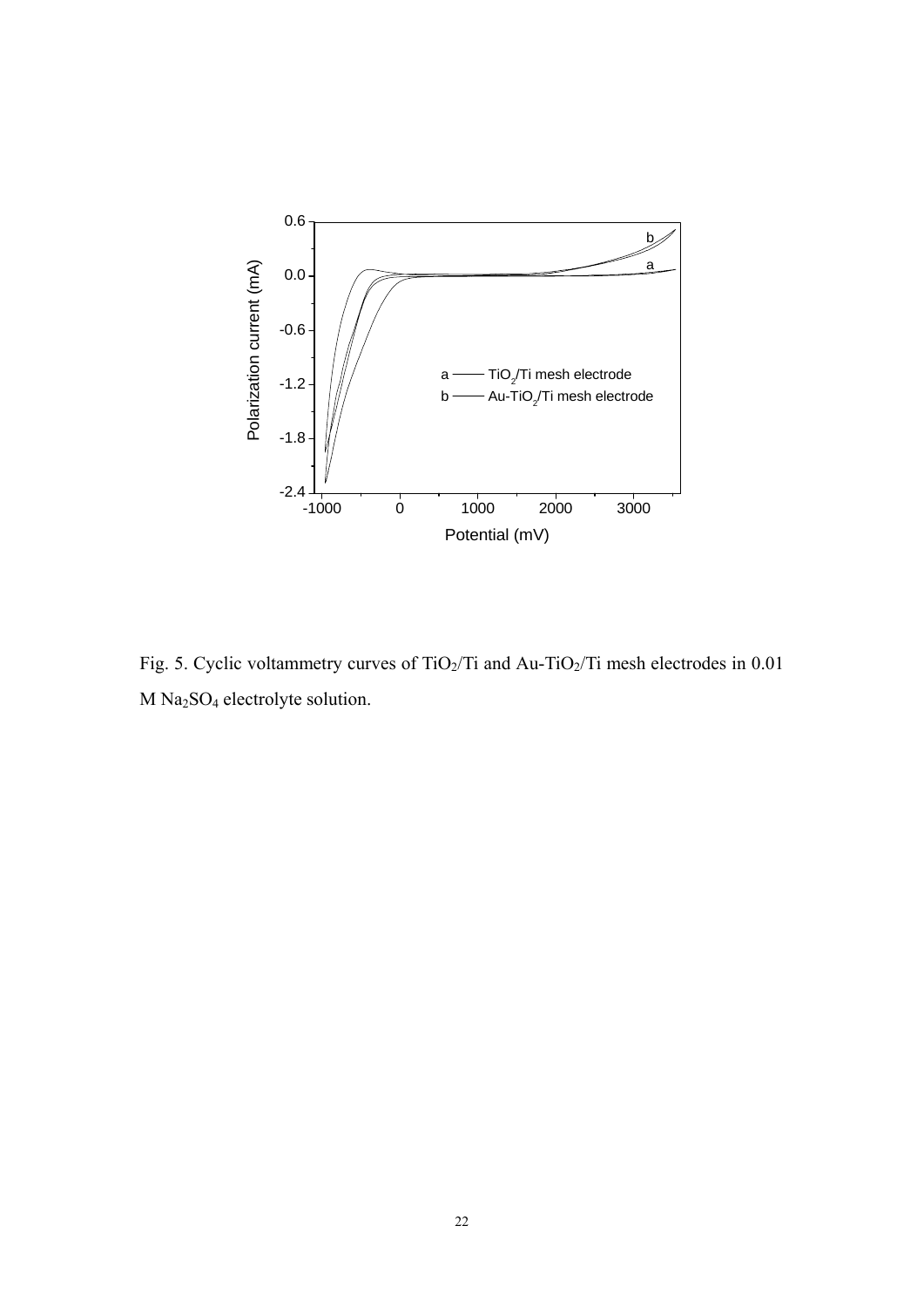

Fig. 5. Cyclic voltammetry curves of TiO<sub>2</sub>/Ti and Au-TiO<sub>2</sub>/Ti mesh electrodes in 0.01 M Na2SO4 electrolyte solution.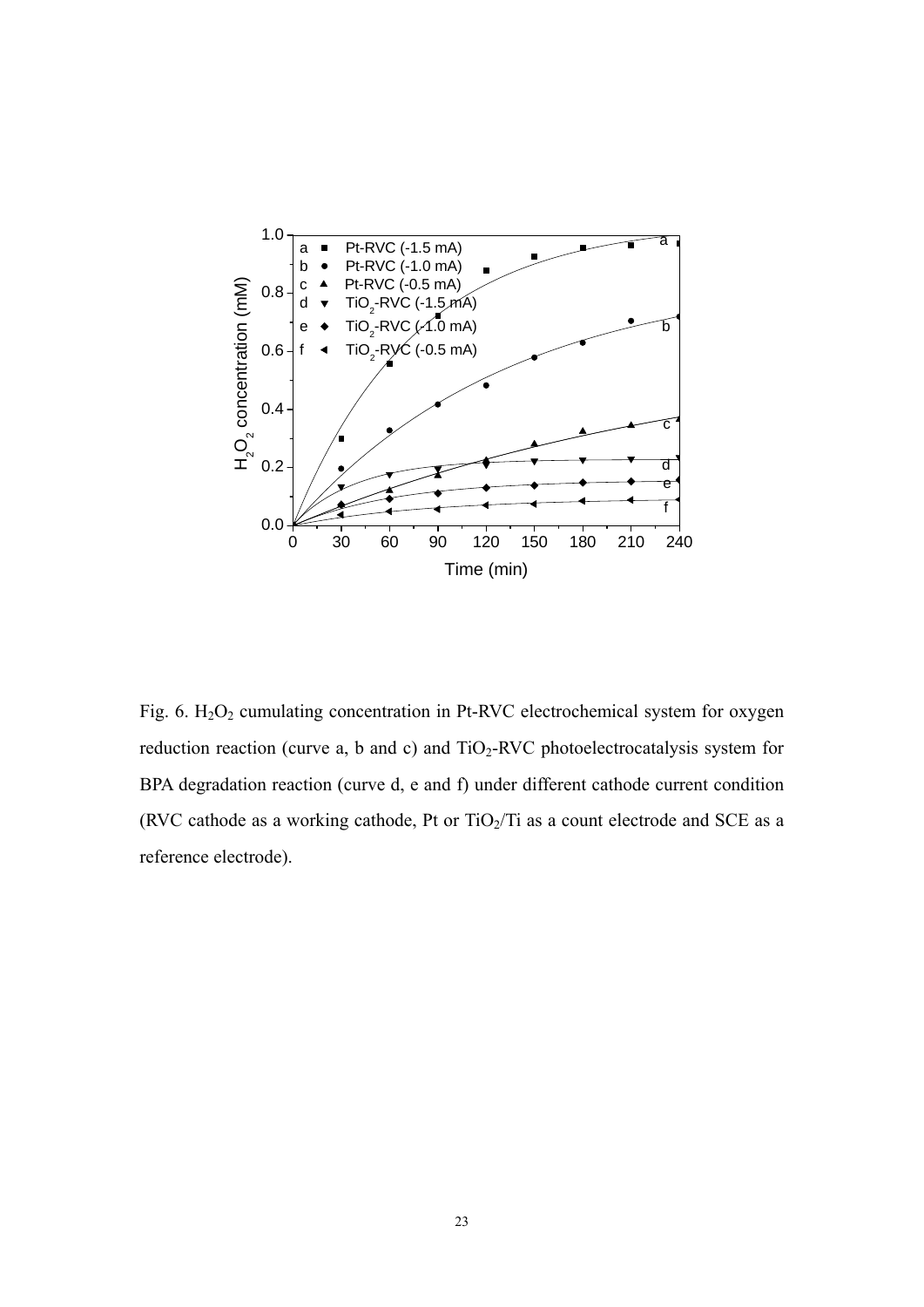

Fig. 6.  $H_2O_2$  cumulating concentration in Pt-RVC electrochemical system for oxygen reduction reaction (curve a, b and c) and  $TiO<sub>2</sub>-RVC$  photoelectrocatalysis system for BPA degradation reaction (curve d, e and f) under different cathode current condition (RVC cathode as a working cathode, Pt or  $TiO<sub>2</sub>/Ti$  as a count electrode and SCE as a reference electrode).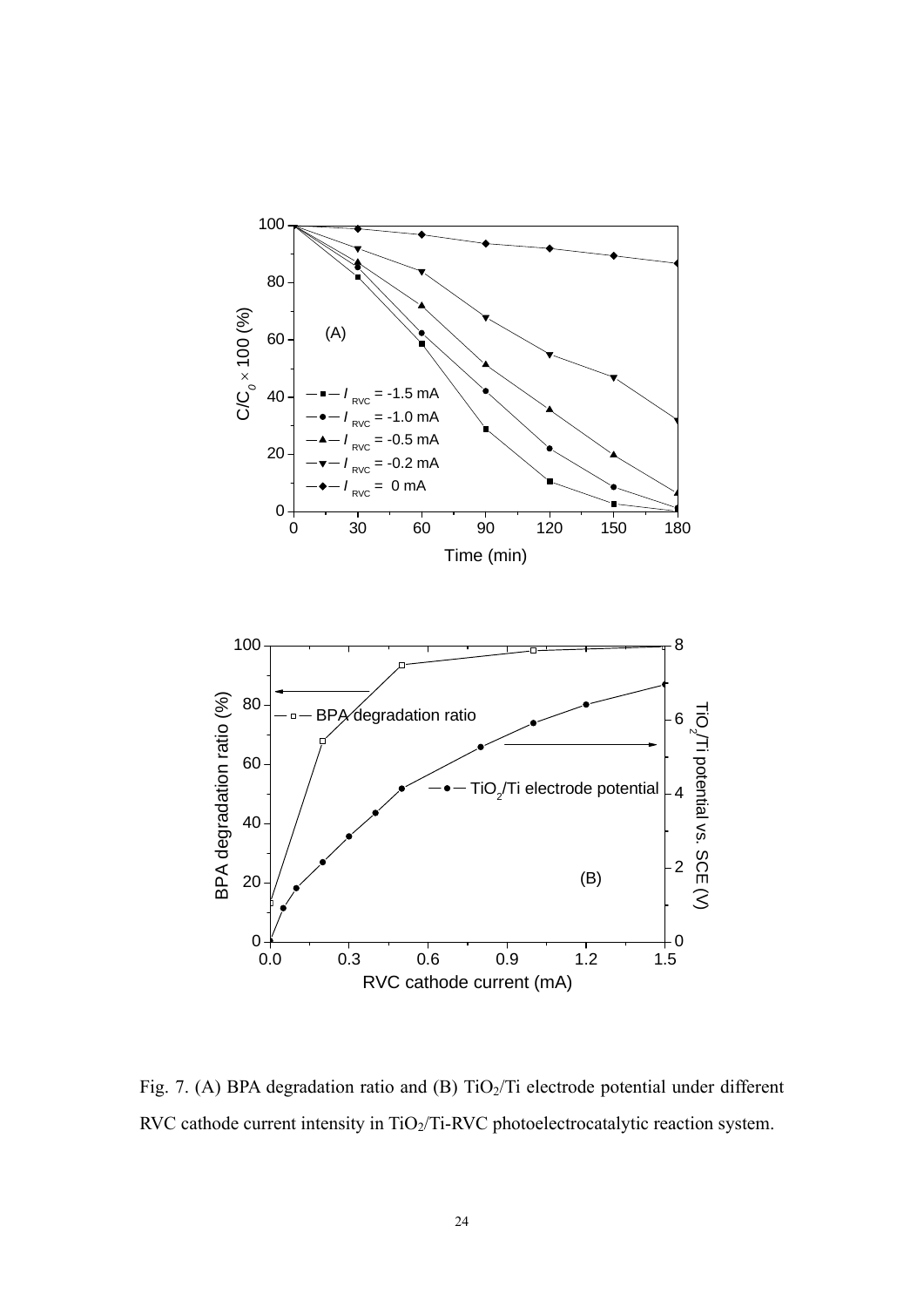

Fig. 7. (A) BPA degradation ratio and (B)  $TiO<sub>2</sub>/Ti$  electrode potential under different RVC cathode current intensity in TiO<sub>2</sub>/Ti-RVC photoelectrocatalytic reaction system.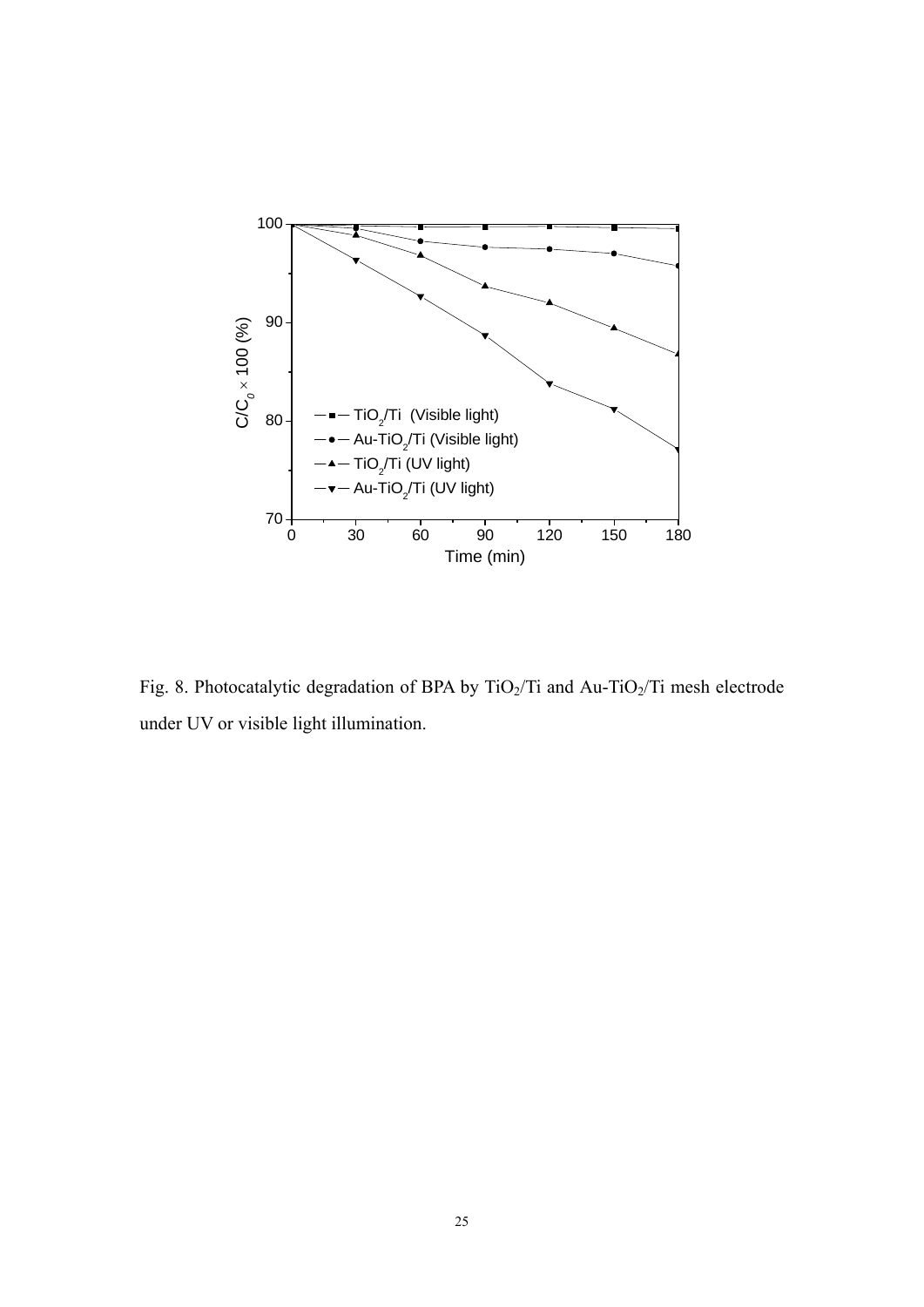

Fig. 8. Photocatalytic degradation of BPA by TiO<sub>2</sub>/Ti and Au-TiO<sub>2</sub>/Ti mesh electrode under UV or visible light illumination.